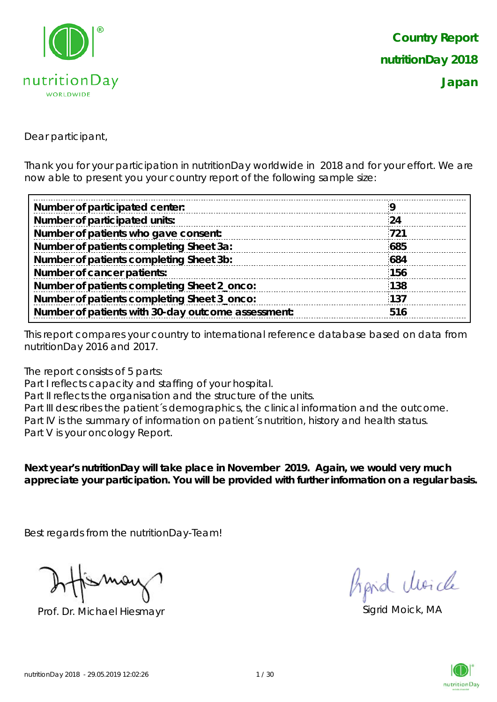

Dear participant,

Thank you for your participation in nutritionDay worldwide in 2018 and for your effort. We are now able to present you your country report of the following sample size:

| Number of participated center:                     |     |
|----------------------------------------------------|-----|
| Number of participated units:                      | 24  |
| Number of patients who gave consent:               | 721 |
| Number of patients completing Sheet 3a:            | 685 |
| Number of patients completing Sheet 3b:            | 684 |
| Number of cancer patients:                         | 156 |
| Number of patients completing Sheet 2_onco:        | 138 |
| Number of patients completing Sheet 3_onco:        | 137 |
| Number of patients with 30-day outcome assessment: | 516 |
|                                                    |     |

This report compares your country to international reference database based on data from nutritionDay 2016 and 2017.

The report consists of 5 parts:

Part I reflects capacity and staffing of your hospital.

Part II reflects the organisation and the structure of the units.

Part III describes the patient's demographics, the clinical information and the outcome. Part IV is the summary of information on patient´s nutrition, history and health status. Part V is your oncology Report.

**Next year's nutritionDay will take place in November 2019. Again, we would very much appreciate your participation. You will be provided with further information on a regular basis.**

Best regards from the nutritionDay-Team!

Prof. Dr. Michael Hiesmayr Sigrid Moick, MA

fraid Moich

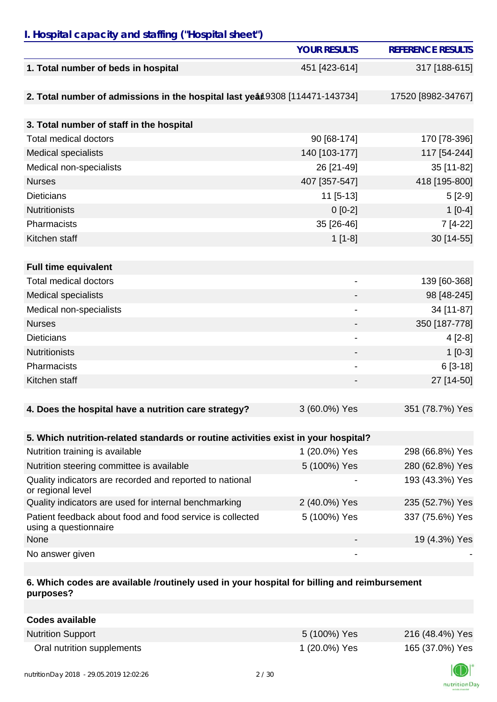# *I. Hospital capacity and staffing ("Hospital sheet")*

|                                                                                    | <b>YOUR RESULTS</b>          | <b>REFERENCE RESULTS</b>           |
|------------------------------------------------------------------------------------|------------------------------|------------------------------------|
| 1. Total number of beds in hospital                                                | 451 [423-614]                | 317 [188-615]                      |
| 2. Total number of admissions in the hospital last year 9308 [114471-143734]       |                              | 17520 [8982-34767]                 |
| 3. Total number of staff in the hospital                                           |                              |                                    |
| <b>Total medical doctors</b>                                                       | 90 [68-174]                  | 170 [78-396]                       |
| <b>Medical specialists</b>                                                         | 140 [103-177]                | 117 [54-244]                       |
| Medical non-specialists                                                            | 26 [21-49]                   | 35 [11-82]                         |
| <b>Nurses</b>                                                                      | 407 [357-547]                | 418 [195-800]                      |
| <b>Dieticians</b>                                                                  | $11$ [5-13]                  | $5[2-9]$                           |
| <b>Nutritionists</b>                                                               | $0[0-2]$                     | $1[0-4]$                           |
| Pharmacists                                                                        | 35 [26-46]                   | 7 [4-22]                           |
| Kitchen staff                                                                      | $1[1-8]$                     | 30 [14-55]                         |
|                                                                                    |                              |                                    |
| <b>Full time equivalent</b>                                                        |                              |                                    |
| <b>Total medical doctors</b>                                                       | $\overline{\phantom{a}}$     | 139 [60-368]                       |
| <b>Medical specialists</b>                                                         |                              | 98 [48-245]                        |
| Medical non-specialists                                                            |                              | 34 [11-87]                         |
| <b>Nurses</b>                                                                      |                              | 350 [187-778]                      |
| <b>Dieticians</b>                                                                  | $\qquad \qquad \blacksquare$ | $4[2-8]$                           |
| <b>Nutritionists</b>                                                               |                              | $1[0-3]$                           |
| Pharmacists                                                                        |                              | $6[3-18]$                          |
| Kitchen staff                                                                      |                              | 27 [14-50]                         |
| 4. Does the hospital have a nutrition care strategy?                               | 3 (60.0%) Yes                | 351 (78.7%) Yes                    |
| 5. Which nutrition-related standards or routine activities exist in your hospital? |                              |                                    |
| Nutrition training is available                                                    | 1 (20.0%) Yes                | 298 (66.8%) Yes                    |
| Nutrition steering committee is available                                          | 5 (100%) Yes                 | 280 (62.8%) Yes                    |
| Quality indicators are recorded and reported to national                           |                              | 193 (43.3%) Yes                    |
| or regional level<br>Quality indicators are used for internal benchmarking         | 2 (40.0%) Yes                |                                    |
| Patient feedback about food and food service is collected                          |                              | 235 (52.7%) Yes<br>337 (75.6%) Yes |
| using a questionnaire                                                              | 5 (100%) Yes                 |                                    |
| None                                                                               |                              | 19 (4.3%) Yes                      |
| No answer given                                                                    |                              |                                    |

## **6. Which codes are available /routinely used in your hospital for billing and reimbursement purposes?**

| <b>Codes available</b>     |               |                 |
|----------------------------|---------------|-----------------|
| <b>Nutrition Support</b>   | 5 (100%) Yes  | 216 (48.4%) Yes |
| Oral nutrition supplements | 1 (20.0%) Yes | 165 (37.0%) Yes |

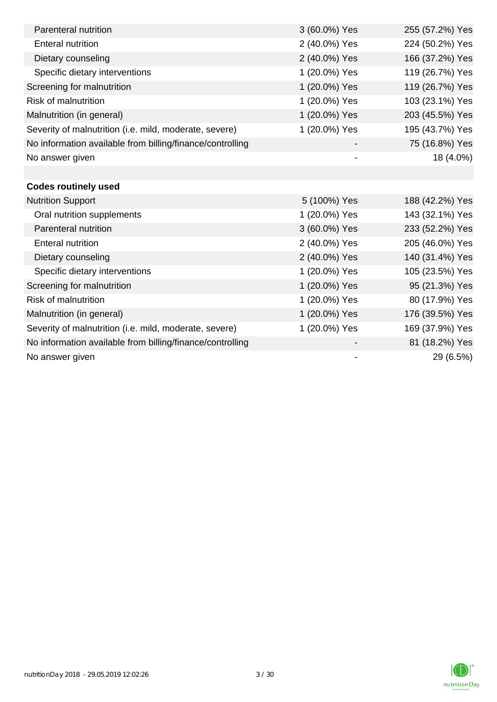| Parenteral nutrition                                      | 3 (60.0%) Yes            | 255 (57.2%) Yes |
|-----------------------------------------------------------|--------------------------|-----------------|
| <b>Enteral nutrition</b>                                  | 2 (40.0%) Yes            | 224 (50.2%) Yes |
| Dietary counseling                                        | 2 (40.0%) Yes            | 166 (37.2%) Yes |
| Specific dietary interventions                            | 1 (20.0%) Yes            | 119 (26.7%) Yes |
| Screening for malnutrition                                | 1 (20.0%) Yes            | 119 (26.7%) Yes |
| <b>Risk of malnutrition</b>                               | 1 (20.0%) Yes            | 103 (23.1%) Yes |
| Malnutrition (in general)                                 | 1 (20.0%) Yes            | 203 (45.5%) Yes |
| Severity of malnutrition (i.e. mild, moderate, severe)    | 1 (20.0%) Yes            | 195 (43.7%) Yes |
| No information available from billing/finance/controlling |                          | 75 (16.8%) Yes  |
| No answer given                                           | $\overline{\phantom{a}}$ | 18 (4.0%)       |
|                                                           |                          |                 |
| <b>Codes routinely used</b>                               |                          |                 |
| <b>Nutrition Support</b>                                  | 5 (100%) Yes             | 188 (42.2%) Yes |
| Oral nutrition supplements                                | 1 (20.0%) Yes            | 143 (32.1%) Yes |
| Parenteral nutrition                                      | 3 (60.0%) Yes            | 233 (52.2%) Yes |
| <b>Enteral nutrition</b>                                  | 2 (40.0%) Yes            | 205 (46.0%) Yes |
| Dietary counseling                                        | 2 (40.0%) Yes            | 140 (31.4%) Yes |
| Specific dietary interventions                            | 1 (20.0%) Yes            | 105 (23.5%) Yes |
| Screening for malnutrition                                | 1 (20.0%) Yes            | 95 (21.3%) Yes  |
| <b>Risk of malnutrition</b>                               | 1 (20.0%) Yes            | 80 (17.9%) Yes  |
| Malnutrition (in general)                                 | 1 (20.0%) Yes            | 176 (39.5%) Yes |
| Severity of malnutrition (i.e. mild, moderate, severe)    | 1 (20.0%) Yes            | 169 (37.9%) Yes |
| No information available from billing/finance/controlling |                          | 81 (18.2%) Yes  |
| No answer given                                           |                          | 29 (6.5%)       |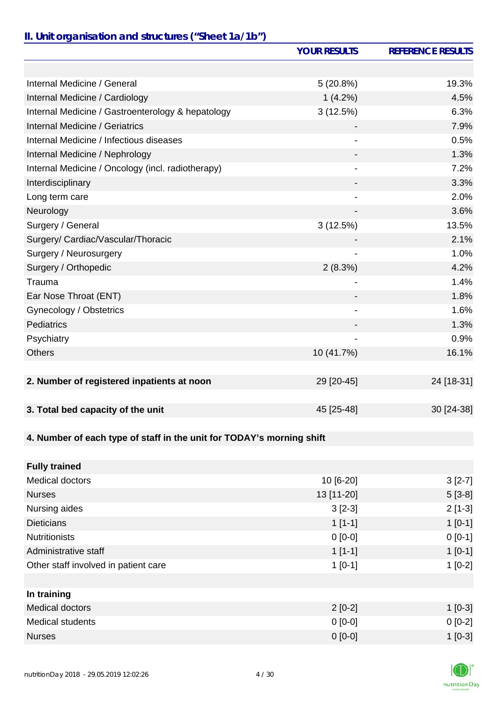# *II. Unit organisation and structures ("Sheet 1a/1b")*

|                                                                       | <b>YOUR RESULTS</b>          | <b>REFERENCE RESULTS</b> |
|-----------------------------------------------------------------------|------------------------------|--------------------------|
|                                                                       |                              |                          |
| Internal Medicine / General                                           | 5(20.8%)                     | 19.3%                    |
| Internal Medicine / Cardiology                                        | $1(4.2\%)$                   | 4.5%                     |
| Internal Medicine / Gastroenterology & hepatology                     | 3(12.5%)                     | 6.3%                     |
| Internal Medicine / Geriatrics                                        |                              | 7.9%                     |
| Internal Medicine / Infectious diseases                               |                              | 0.5%                     |
| Internal Medicine / Nephrology                                        |                              | 1.3%                     |
| Internal Medicine / Oncology (incl. radiotherapy)                     |                              | 7.2%                     |
| Interdisciplinary                                                     |                              | 3.3%                     |
| Long term care                                                        |                              | 2.0%                     |
| Neurology                                                             |                              | 3.6%                     |
| Surgery / General                                                     | 3(12.5%)                     | 13.5%                    |
| Surgery/ Cardiac/Vascular/Thoracic                                    |                              | 2.1%                     |
| Surgery / Neurosurgery                                                |                              | 1.0%                     |
| Surgery / Orthopedic                                                  | 2(8.3%)                      | 4.2%                     |
| Trauma                                                                |                              | 1.4%                     |
| Ear Nose Throat (ENT)                                                 |                              | 1.8%                     |
| Gynecology / Obstetrics                                               | $\qquad \qquad \blacksquare$ | 1.6%                     |
| Pediatrics                                                            |                              | 1.3%                     |
| Psychiatry                                                            |                              | 0.9%                     |
| <b>Others</b>                                                         | 10 (41.7%)                   | 16.1%                    |
|                                                                       |                              |                          |
| 2. Number of registered inpatients at noon                            | 29 [20-45]                   | 24 [18-31]               |
|                                                                       |                              |                          |
| 3. Total bed capacity of the unit                                     | 45 [25-48]                   | 30 [24-38]               |
|                                                                       |                              |                          |
| 4. Number of each type of staff in the unit for TODAY's morning shift |                              |                          |
|                                                                       |                              |                          |
| <b>Fully trained</b>                                                  |                              |                          |
| <b>Medical doctors</b>                                                | 10 [6-20]                    | $3[2-7]$                 |
| <b>Nurses</b>                                                         | 13 [11-20]                   | $5[3-8]$                 |
| Nursing aides                                                         | $3[2-3]$                     | $2[1-3]$                 |
| <b>Dieticians</b>                                                     | $1[1-1]$                     | $1[0-1]$                 |
| <b>Nutritionists</b>                                                  | $0[0-0]$                     | $0 [0-1]$                |
| Administrative staff                                                  | $1[1-1]$                     | $1[0-1]$                 |
| Other staff involved in patient care                                  | $1[0-1]$                     | $1[0-2]$                 |
|                                                                       |                              |                          |
| In training                                                           |                              |                          |
| <b>Medical doctors</b>                                                | $2[0-2]$                     | $1[0-3]$                 |
| <b>Medical students</b>                                               | $0[0-0]$                     | $0[0-2]$                 |
| <b>Nurses</b>                                                         | $0 [0-0]$                    | $1[0-3]$                 |

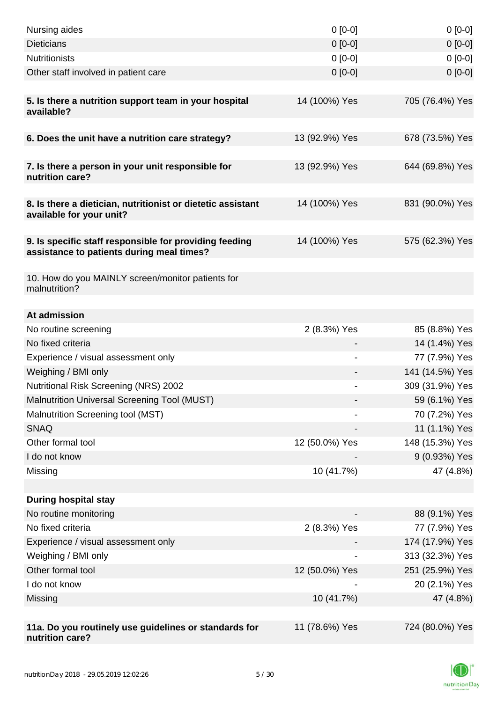| Nursing aides                                                                                       | $0[0-0]$       | $0[0-0]$        |
|-----------------------------------------------------------------------------------------------------|----------------|-----------------|
| <b>Dieticians</b>                                                                                   | $0 [0-0]$      | $0[0-0]$        |
| <b>Nutritionists</b>                                                                                | $0[0-0]$       | $0[0-0]$        |
| Other staff involved in patient care                                                                | $0 [0-0]$      | $0[0-0]$        |
|                                                                                                     |                |                 |
| 5. Is there a nutrition support team in your hospital<br>available?                                 | 14 (100%) Yes  | 705 (76.4%) Yes |
| 6. Does the unit have a nutrition care strategy?                                                    | 13 (92.9%) Yes | 678 (73.5%) Yes |
|                                                                                                     |                |                 |
| 7. Is there a person in your unit responsible for<br>nutrition care?                                | 13 (92.9%) Yes | 644 (69.8%) Yes |
| 8. Is there a dietician, nutritionist or dietetic assistant<br>available for your unit?             | 14 (100%) Yes  | 831 (90.0%) Yes |
|                                                                                                     |                |                 |
| 9. Is specific staff responsible for providing feeding<br>assistance to patients during meal times? | 14 (100%) Yes  | 575 (62.3%) Yes |
| 10. How do you MAINLY screen/monitor patients for<br>malnutrition?                                  |                |                 |
| At admission                                                                                        |                |                 |
| No routine screening                                                                                | 2 (8.3%) Yes   | 85 (8.8%) Yes   |
| No fixed criteria                                                                                   |                | 14 (1.4%) Yes   |
| Experience / visual assessment only                                                                 |                | 77 (7.9%) Yes   |
| Weighing / BMI only                                                                                 |                | 141 (14.5%) Yes |
| Nutritional Risk Screening (NRS) 2002                                                               | -              | 309 (31.9%) Yes |
| Malnutrition Universal Screening Tool (MUST)                                                        |                | 59 (6.1%) Yes   |
| Malnutrition Screening tool (MST)                                                                   |                | 70 (7.2%) Yes   |
| <b>SNAQ</b>                                                                                         |                | 11 (1.1%) Yes   |
| Other formal tool                                                                                   | 12 (50.0%) Yes | 148 (15.3%) Yes |
| I do not know                                                                                       |                | 9 (0.93%) Yes   |
| Missing                                                                                             | 10 (41.7%)     | 47 (4.8%)       |
|                                                                                                     |                |                 |
| <b>During hospital stay</b>                                                                         |                |                 |
| No routine monitoring                                                                               |                | 88 (9.1%) Yes   |
| No fixed criteria                                                                                   | 2 (8.3%) Yes   | 77 (7.9%) Yes   |
| Experience / visual assessment only                                                                 |                | 174 (17.9%) Yes |
| Weighing / BMI only                                                                                 |                | 313 (32.3%) Yes |
| Other formal tool                                                                                   | 12 (50.0%) Yes | 251 (25.9%) Yes |
| I do not know                                                                                       |                | 20 (2.1%) Yes   |
| Missing                                                                                             | 10 (41.7%)     | 47 (4.8%)       |
|                                                                                                     |                |                 |
| 11a. Do you routinely use guidelines or standards for<br>nutrition care?                            | 11 (78.6%) Yes | 724 (80.0%) Yes |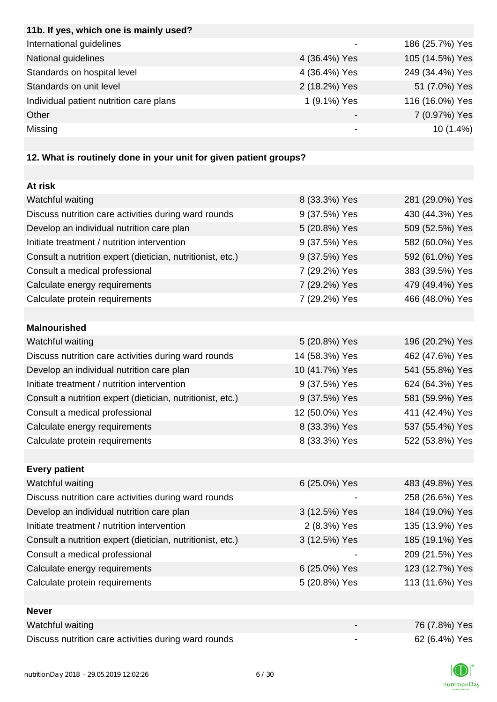| 186 (25.7%) Yes                                                 |
|-----------------------------------------------------------------|
| 105 (14.5%) Yes                                                 |
| 249 (34.4%) Yes                                                 |
| 51 (7.0%) Yes                                                   |
| 116 (16.0%) Yes                                                 |
| 7 (0.97%) Yes                                                   |
| $10(1.4\%)$                                                     |
| 4 (36.4%) Yes<br>4 (36.4%) Yes<br>2 (18.2%) Yes<br>1 (9.1%) Yes |

# **12. What is routinely done in your unit for given patient groups?**

| At risk                                                    |                |                 |
|------------------------------------------------------------|----------------|-----------------|
| Watchful waiting                                           | 8 (33.3%) Yes  | 281 (29.0%) Yes |
| Discuss nutrition care activities during ward rounds       | 9 (37.5%) Yes  | 430 (44.3%) Yes |
| Develop an individual nutrition care plan                  | 5 (20.8%) Yes  | 509 (52.5%) Yes |
| Initiate treatment / nutrition intervention                | 9 (37.5%) Yes  | 582 (60.0%) Yes |
| Consult a nutrition expert (dietician, nutritionist, etc.) | 9 (37.5%) Yes  | 592 (61.0%) Yes |
| Consult a medical professional                             | 7 (29.2%) Yes  | 383 (39.5%) Yes |
| Calculate energy requirements                              | 7 (29.2%) Yes  | 479 (49.4%) Yes |
| Calculate protein requirements                             | 7 (29.2%) Yes  | 466 (48.0%) Yes |
|                                                            |                |                 |
| <b>Malnourished</b>                                        |                |                 |
| Watchful waiting                                           | 5 (20.8%) Yes  | 196 (20.2%) Yes |
| Discuss nutrition care activities during ward rounds       | 14 (58.3%) Yes | 462 (47.6%) Yes |
| Develop an individual nutrition care plan                  | 10 (41.7%) Yes | 541 (55.8%) Yes |
| Initiate treatment / nutrition intervention                | 9 (37.5%) Yes  | 624 (64.3%) Yes |
| Consult a nutrition expert (dietician, nutritionist, etc.) | 9 (37.5%) Yes  | 581 (59.9%) Yes |
| Consult a medical professional                             | 12 (50.0%) Yes | 411 (42.4%) Yes |
| Calculate energy requirements                              | 8 (33.3%) Yes  | 537 (55.4%) Yes |
| Calculate protein requirements                             | 8 (33.3%) Yes  | 522 (53.8%) Yes |
|                                                            |                |                 |
| <b>Every patient</b>                                       |                |                 |
| Watchful waiting                                           | 6 (25.0%) Yes  | 483 (49.8%) Yes |
| Discuss nutrition care activities during ward rounds       |                | 258 (26.6%) Yes |
| Develop an individual nutrition care plan                  | 3 (12.5%) Yes  | 184 (19.0%) Yes |
| Initiate treatment / nutrition intervention                | 2 (8.3%) Yes   | 135 (13.9%) Yes |
| Consult a nutrition expert (dietician, nutritionist, etc.) | 3 (12.5%) Yes  | 185 (19.1%) Yes |
| Consult a medical professional                             |                | 209 (21.5%) Yes |
| Calculate energy requirements                              | 6 (25.0%) Yes  | 123 (12.7%) Yes |
| Calculate protein requirements                             | 5 (20.8%) Yes  | 113 (11.6%) Yes |
|                                                            |                |                 |
| <b>Never</b>                                               |                |                 |
| Watchful waiting                                           |                | 76 (7.8%) Yes   |
| Discuss nutrition care activities during ward rounds       |                | 62 (6.4%) Yes   |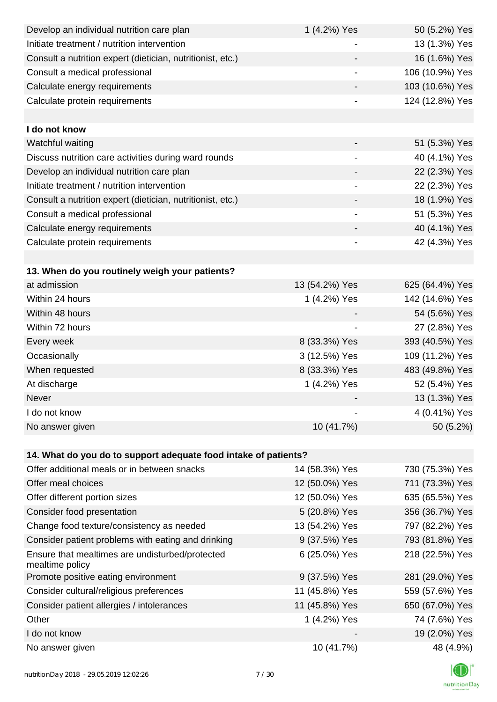| Develop an individual nutrition care plan                          | 1 (4.2%) Yes             | 50 (5.2%) Yes   |
|--------------------------------------------------------------------|--------------------------|-----------------|
| Initiate treatment / nutrition intervention                        |                          | 13 (1.3%) Yes   |
| Consult a nutrition expert (dietician, nutritionist, etc.)         |                          | 16 (1.6%) Yes   |
| Consult a medical professional                                     | $\overline{\phantom{a}}$ | 106 (10.9%) Yes |
| Calculate energy requirements                                      |                          | 103 (10.6%) Yes |
| Calculate protein requirements                                     |                          | 124 (12.8%) Yes |
|                                                                    |                          |                 |
| I do not know                                                      |                          |                 |
| Watchful waiting                                                   |                          | 51 (5.3%) Yes   |
| Discuss nutrition care activities during ward rounds               | $\overline{\phantom{a}}$ | 40 (4.1%) Yes   |
| Develop an individual nutrition care plan                          |                          | 22 (2.3%) Yes   |
| Initiate treatment / nutrition intervention                        |                          | 22 (2.3%) Yes   |
| Consult a nutrition expert (dietician, nutritionist, etc.)         |                          | 18 (1.9%) Yes   |
| Consult a medical professional                                     |                          | 51 (5.3%) Yes   |
| Calculate energy requirements                                      |                          | 40 (4.1%) Yes   |
| Calculate protein requirements                                     | $\overline{\phantom{a}}$ | 42 (4.3%) Yes   |
|                                                                    |                          |                 |
| 13. When do you routinely weigh your patients?                     |                          |                 |
| at admission                                                       | 13 (54.2%) Yes           | 625 (64.4%) Yes |
| Within 24 hours                                                    | 1 (4.2%) Yes             | 142 (14.6%) Yes |
| Within 48 hours                                                    |                          | 54 (5.6%) Yes   |
| Within 72 hours                                                    | $\overline{\phantom{a}}$ | 27 (2.8%) Yes   |
| Every week                                                         | 8 (33.3%) Yes            | 393 (40.5%) Yes |
| Occasionally                                                       | 3 (12.5%) Yes            | 109 (11.2%) Yes |
| When requested                                                     | 8 (33.3%) Yes            | 483 (49.8%) Yes |
| At discharge                                                       | 1 (4.2%) Yes             | 52 (5.4%) Yes   |
| Never                                                              |                          | 13 (1.3%) Yes   |
| I do not know                                                      |                          | 4 (0.41%) Yes   |
| No answer given                                                    | 10 (41.7%)               | 50 (5.2%)       |
|                                                                    |                          |                 |
| 14. What do you do to support adequate food intake of patients?    |                          |                 |
| Offer additional meals or in between snacks                        | 14 (58.3%) Yes           | 730 (75.3%) Yes |
| Offer meal choices                                                 | 12 (50.0%) Yes           | 711 (73.3%) Yes |
| Offer different portion sizes                                      | 12 (50.0%) Yes           | 635 (65.5%) Yes |
| Consider food presentation                                         | 5 (20.8%) Yes            | 356 (36.7%) Yes |
| Change food texture/consistency as needed                          | 13 (54.2%) Yes           | 797 (82.2%) Yes |
| Consider patient problems with eating and drinking                 | 9 (37.5%) Yes            | 793 (81.8%) Yes |
| Ensure that mealtimes are undisturbed/protected<br>mealtime policy | 6 (25.0%) Yes            | 218 (22.5%) Yes |
| Promote positive eating environment                                | 9 (37.5%) Yes            | 281 (29.0%) Yes |
| Consider cultural/religious preferences                            | 11 (45.8%) Yes           | 559 (57.6%) Yes |
| Consider patient allergies / intolerances                          | 11 (45.8%) Yes           | 650 (67.0%) Yes |
| Other                                                              | 1 (4.2%) Yes             | 74 (7.6%) Yes   |
| I do not know                                                      |                          | 19 (2.0%) Yes   |
| No answer given                                                    | 10 (41.7%)               | 48 (4.9%)       |

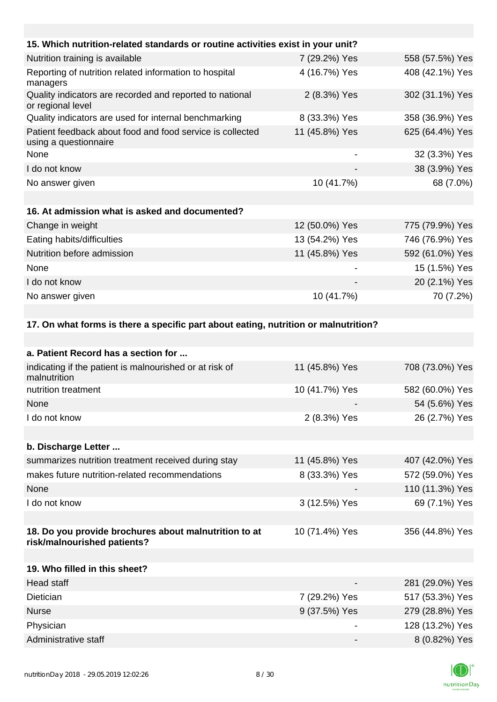| 15. Which nutrition-related standards or routine activities exist in your unit?     |                |                 |
|-------------------------------------------------------------------------------------|----------------|-----------------|
| Nutrition training is available                                                     | 7 (29.2%) Yes  | 558 (57.5%) Yes |
| Reporting of nutrition related information to hospital<br>managers                  | 4 (16.7%) Yes  | 408 (42.1%) Yes |
| Quality indicators are recorded and reported to national<br>or regional level       | 2 (8.3%) Yes   | 302 (31.1%) Yes |
| Quality indicators are used for internal benchmarking                               | 8 (33.3%) Yes  | 358 (36.9%) Yes |
| Patient feedback about food and food service is collected<br>using a questionnaire  | 11 (45.8%) Yes | 625 (64.4%) Yes |
| None                                                                                |                | 32 (3.3%) Yes   |
| I do not know                                                                       |                | 38 (3.9%) Yes   |
| No answer given                                                                     | 10 (41.7%)     | 68 (7.0%)       |
|                                                                                     |                |                 |
| 16. At admission what is asked and documented?                                      |                |                 |
| Change in weight                                                                    | 12 (50.0%) Yes | 775 (79.9%) Yes |
| Eating habits/difficulties                                                          | 13 (54.2%) Yes | 746 (76.9%) Yes |
| Nutrition before admission                                                          | 11 (45.8%) Yes | 592 (61.0%) Yes |
| None                                                                                |                | 15 (1.5%) Yes   |
| I do not know                                                                       |                | 20 (2.1%) Yes   |
| No answer given                                                                     | 10 (41.7%)     | 70 (7.2%)       |
|                                                                                     |                |                 |
| 17. On what forms is there a specific part about eating, nutrition or malnutrition? |                |                 |
|                                                                                     |                |                 |
| a. Patient Record has a section for                                                 |                |                 |
| indicating if the patient is malnourished or at risk of<br>malnutrition             | 11 (45.8%) Yes | 708 (73.0%) Yes |
| nutrition treatment                                                                 | 10 (41.7%) Yes | 582 (60.0%) Yes |
| None                                                                                |                | 54 (5.6%) Yes   |
| I do not know                                                                       | 2 (8.3%) Yes   | 26 (2.7%) Yes   |
|                                                                                     |                |                 |
| b. Discharge Letter                                                                 |                |                 |

| summarizes nutrition treatment received during stay | 11 (45.8%) Yes | 407 (42.0%) Yes |
|-----------------------------------------------------|----------------|-----------------|
| makes future nutrition-related recommendations      | 8 (33.3%) Yes  | 572 (59.0%) Yes |
| None                                                |                | 110 (11.3%) Yes |
| I do not know                                       | 3 (12.5%) Yes  | 69 (7.1%) Yes   |
|                                                     |                |                 |

#### **18. Do you provide brochures about malnutrition to at risk/malnourished patients?** 10 (71.4%) Yes 356 (44.8%) Yes

| 19. Who filled in this sheet? |                          |                 |
|-------------------------------|--------------------------|-----------------|
| Head staff                    | $\overline{\phantom{0}}$ | 281 (29.0%) Yes |
| Dietician                     | 7 (29.2%) Yes            | 517 (53.3%) Yes |
| <b>Nurse</b>                  | 9 (37.5%) Yes            | 279 (28.8%) Yes |
| Physician                     |                          | 128 (13.2%) Yes |
| Administrative staff          | $\qquad \qquad$          | 8 (0.82%) Yes   |

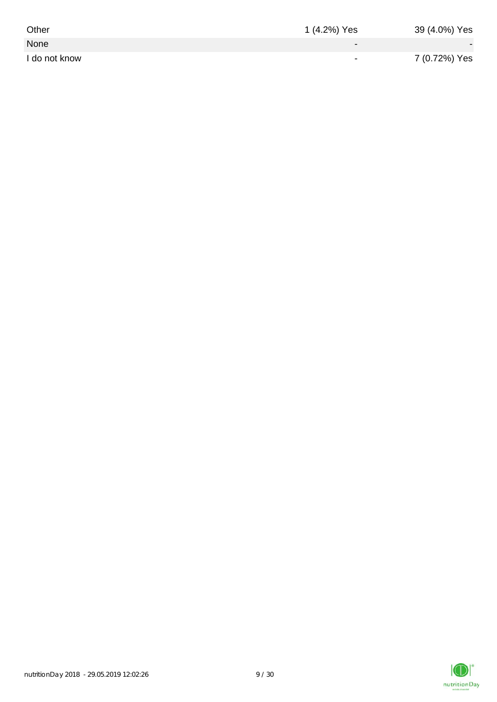| Other         | 1 (4.2%) Yes             | 39 (4.0%) Yes |
|---------------|--------------------------|---------------|
| None          | $\overline{\phantom{0}}$ |               |
| I do not know | $\overline{\phantom{0}}$ | 7 (0.72%) Yes |

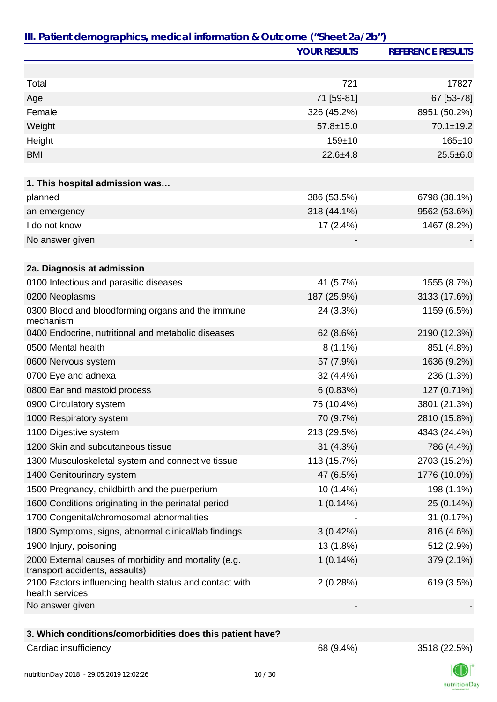|                                                                                         | <b>YOUR RESULTS</b> | <b>REFERENCE RESULTS</b> |
|-----------------------------------------------------------------------------------------|---------------------|--------------------------|
|                                                                                         |                     |                          |
| Total                                                                                   | 721                 | 17827                    |
| Age                                                                                     | 71 [59-81]          | 67 [53-78]               |
| Female                                                                                  | 326 (45.2%)         | 8951 (50.2%)             |
| Weight                                                                                  | $57.8 \pm 15.0$     | 70.1±19.2                |
| Height                                                                                  | $159 + 10$          | 165±10                   |
| <b>BMI</b>                                                                              | $22.6 + 4.8$        | $25.5 \pm 6.0$           |
|                                                                                         |                     |                          |
| 1. This hospital admission was                                                          |                     |                          |
| planned                                                                                 | 386 (53.5%)         | 6798 (38.1%)             |
| an emergency                                                                            | 318 (44.1%)         | 9562 (53.6%)             |
| I do not know                                                                           | $17(2.4\%)$         | 1467 (8.2%)              |
| No answer given                                                                         |                     |                          |
|                                                                                         |                     |                          |
| 2a. Diagnosis at admission                                                              |                     |                          |
| 0100 Infectious and parasitic diseases                                                  | 41 (5.7%)           | 1555 (8.7%)              |
| 0200 Neoplasms                                                                          | 187 (25.9%)         | 3133 (17.6%)             |
| 0300 Blood and bloodforming organs and the immune<br>mechanism                          | 24 (3.3%)           | 1159 (6.5%)              |
| 0400 Endocrine, nutritional and metabolic diseases                                      | 62 (8.6%)           | 2190 (12.3%)             |
| 0500 Mental health                                                                      | $8(1.1\%)$          | 851 (4.8%)               |
| 0600 Nervous system                                                                     | 57 (7.9%)           | 1636 (9.2%)              |
| 0700 Eye and adnexa                                                                     | 32 (4.4%)           | 236 (1.3%)               |
| 0800 Ear and mastoid process                                                            | 6(0.83%)            | 127 (0.71%)              |
| 0900 Circulatory system                                                                 | 75 (10.4%)          | 3801 (21.3%)             |
| 1000 Respiratory system                                                                 | 70 (9.7%)           | 2810 (15.8%)             |
| 1100 Digestive system                                                                   | 213 (29.5%)         | 4343 (24.4%)             |
| 1200 Skin and subcutaneous tissue                                                       | 31(4.3%)            | 786 (4.4%)               |
| 1300 Musculoskeletal system and connective tissue                                       | 113 (15.7%)         | 2703 (15.2%)             |
| 1400 Genitourinary system                                                               | 47 (6.5%)           | 1776 (10.0%)             |
| 1500 Pregnancy, childbirth and the puerperium                                           | 10 (1.4%)           | 198 (1.1%)               |
| 1600 Conditions originating in the perinatal period                                     | $1(0.14\%)$         | 25 (0.14%)               |
| 1700 Congenital/chromosomal abnormalities                                               |                     | 31 (0.17%)               |
| 1800 Symptoms, signs, abnormal clinical/lab findings                                    | 3(0.42%)            | 816 (4.6%)               |
| 1900 Injury, poisoning                                                                  | 13 (1.8%)           | 512 (2.9%)               |
| 2000 External causes of morbidity and mortality (e.g.<br>transport accidents, assaults) | $1(0.14\%)$         | 379 (2.1%)               |
| 2100 Factors influencing health status and contact with<br>health services              | 2(0.28%)            | 619 (3.5%)               |
| No answer given                                                                         |                     |                          |
| 3. Which conditions/comorbidities does this patient have?                               |                     |                          |
| Cardiac insufficiency                                                                   | 68 (9.4%)           | 3518 (22.5%)             |

nutritionDay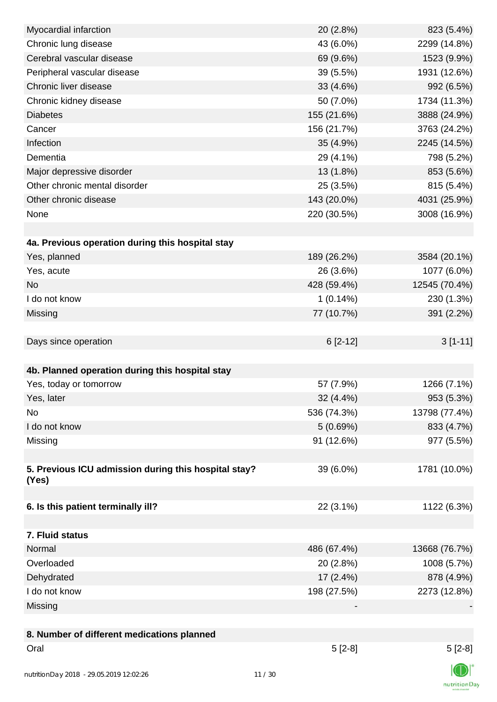| Myocardial infarction                                | 20 (2.8%)   | 823 (5.4%)    |
|------------------------------------------------------|-------------|---------------|
| Chronic lung disease                                 | 43 (6.0%)   | 2299 (14.8%)  |
| Cerebral vascular disease                            | 69 (9.6%)   | 1523 (9.9%)   |
| Peripheral vascular disease                          | 39 (5.5%)   | 1931 (12.6%)  |
| Chronic liver disease                                | 33 (4.6%)   | 992 (6.5%)    |
| Chronic kidney disease                               | 50 (7.0%)   | 1734 (11.3%)  |
| <b>Diabetes</b>                                      | 155 (21.6%) | 3888 (24.9%)  |
| Cancer                                               | 156 (21.7%) | 3763 (24.2%)  |
| Infection                                            | 35 (4.9%)   | 2245 (14.5%)  |
| Dementia                                             | 29 (4.1%)   | 798 (5.2%)    |
| Major depressive disorder                            | 13 (1.8%)   | 853 (5.6%)    |
| Other chronic mental disorder                        | 25 (3.5%)   | 815 (5.4%)    |
| Other chronic disease                                | 143 (20.0%) | 4031 (25.9%)  |
| None                                                 | 220 (30.5%) | 3008 (16.9%)  |
|                                                      |             |               |
| 4a. Previous operation during this hospital stay     |             |               |
| Yes, planned                                         | 189 (26.2%) | 3584 (20.1%)  |
| Yes, acute                                           | 26 (3.6%)   | 1077 (6.0%)   |
| <b>No</b>                                            | 428 (59.4%) | 12545 (70.4%) |
| I do not know                                        | $1(0.14\%)$ | 230 (1.3%)    |
| Missing                                              | 77 (10.7%)  | 391 (2.2%)    |
|                                                      |             |               |
| Days since operation                                 | $6[2-12]$   | $3[1-11]$     |
|                                                      |             |               |
| 4b. Planned operation during this hospital stay      |             |               |
| Yes, today or tomorrow                               | 57 (7.9%)   | 1266 (7.1%)   |
| Yes, later                                           | 32 (4.4%)   | 953 (5.3%)    |
| No                                                   | 536 (74.3%) | 13798 (77.4%) |
| I do not know                                        | 5(0.69%)    | 833 (4.7%)    |
| Missing                                              | 91 (12.6%)  | 977 (5.5%)    |
|                                                      |             |               |
| 5. Previous ICU admission during this hospital stay? | 39 (6.0%)   | 1781 (10.0%)  |
| (Yes)                                                |             |               |
|                                                      |             |               |
| 6. Is this patient terminally ill?                   | 22 (3.1%)   | 1122 (6.3%)   |
|                                                      |             |               |
| 7. Fluid status                                      |             |               |
| Normal                                               | 486 (67.4%) | 13668 (76.7%) |
| Overloaded                                           | 20 (2.8%)   | 1008 (5.7%)   |
| Dehydrated                                           | $17(2.4\%)$ | 878 (4.9%)    |
| I do not know                                        | 198 (27.5%) | 2273 (12.8%)  |
| Missing                                              |             |               |
|                                                      |             |               |
| 8. Number of different medications planned           |             |               |
| Oral                                                 | $5[2-8]$    | $5[2-8]$      |
|                                                      |             |               |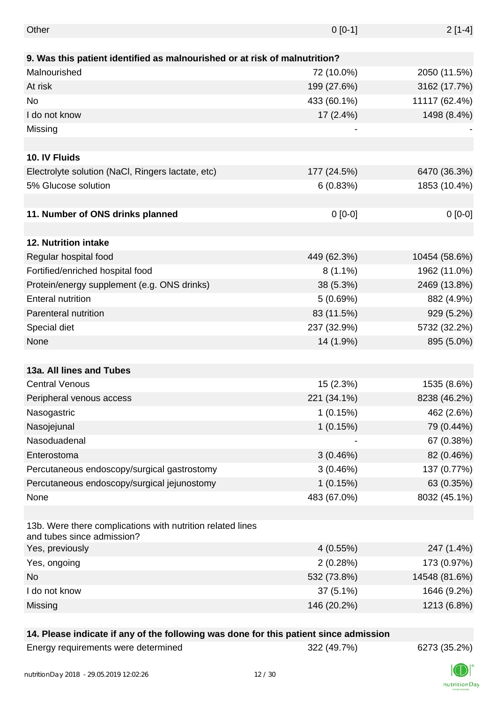| Other                                                                                    | $0 [0-1]$   | $2[1-4]$      |
|------------------------------------------------------------------------------------------|-------------|---------------|
|                                                                                          |             |               |
| 9. Was this patient identified as malnourished or at risk of malnutrition?               |             |               |
| Malnourished                                                                             | 72 (10.0%)  | 2050 (11.5%)  |
| At risk                                                                                  | 199 (27.6%) | 3162 (17.7%)  |
| <b>No</b>                                                                                | 433 (60.1%) | 11117 (62.4%) |
| I do not know                                                                            | 17 (2.4%)   | 1498 (8.4%)   |
| Missing                                                                                  |             |               |
|                                                                                          |             |               |
| 10. IV Fluids                                                                            |             |               |
| Electrolyte solution (NaCl, Ringers lactate, etc)                                        | 177 (24.5%) | 6470 (36.3%)  |
| 5% Glucose solution                                                                      | 6(0.83%)    | 1853 (10.4%)  |
|                                                                                          |             |               |
| 11. Number of ONS drinks planned                                                         | $0 [0-0]$   | $0[0-0]$      |
|                                                                                          |             |               |
| 12. Nutrition intake                                                                     |             |               |
| Regular hospital food                                                                    | 449 (62.3%) | 10454 (58.6%) |
| Fortified/enriched hospital food                                                         | $8(1.1\%)$  | 1962 (11.0%)  |
| Protein/energy supplement (e.g. ONS drinks)                                              | 38 (5.3%)   | 2469 (13.8%)  |
| <b>Enteral nutrition</b>                                                                 | 5(0.69%)    | 882 (4.9%)    |
| Parenteral nutrition                                                                     | 83 (11.5%)  | 929 (5.2%)    |
| Special diet                                                                             | 237 (32.9%) | 5732 (32.2%)  |
| None                                                                                     | 14 (1.9%)   | 895 (5.0%)    |
|                                                                                          |             |               |
| 13a. All lines and Tubes                                                                 |             |               |
| <b>Central Venous</b>                                                                    | 15 (2.3%)   | 1535 (8.6%)   |
| Peripheral venous access                                                                 | 221 (34.1%) | 8238 (46.2%)  |
| Nasogastric                                                                              | 1(0.15%)    | 462 (2.6%)    |
| Nasojejunal                                                                              | 1(0.15%)    | 79 (0.44%)    |
| Nasoduadenal                                                                             |             | 67 (0.38%)    |
| Enterostoma                                                                              | 3(0.46%)    | 82 (0.46%)    |
| Percutaneous endoscopy/surgical gastrostomy                                              | 3(0.46%)    | 137 (0.77%)   |
| Percutaneous endoscopy/surgical jejunostomy                                              | 1(0.15%)    | 63 (0.35%)    |
| None                                                                                     | 483 (67.0%) | 8032 (45.1%)  |
|                                                                                          |             |               |
| 13b. Were there complications with nutrition related lines<br>and tubes since admission? |             |               |
| Yes, previously                                                                          | 4(0.55%)    | 247 (1.4%)    |
| Yes, ongoing                                                                             | 2(0.28%)    | 173 (0.97%)   |
| <b>No</b>                                                                                | 532 (73.8%) | 14548 (81.6%) |
| I do not know                                                                            | $37(5.1\%)$ | 1646 (9.2%)   |
| Missing                                                                                  | 146 (20.2%) | 1213 (6.8%)   |
|                                                                                          |             |               |

## **14. Please indicate if any of the following was done for this patient since admission**

| Energy requirements were determined |
|-------------------------------------|
|-------------------------------------|



nutritionDay

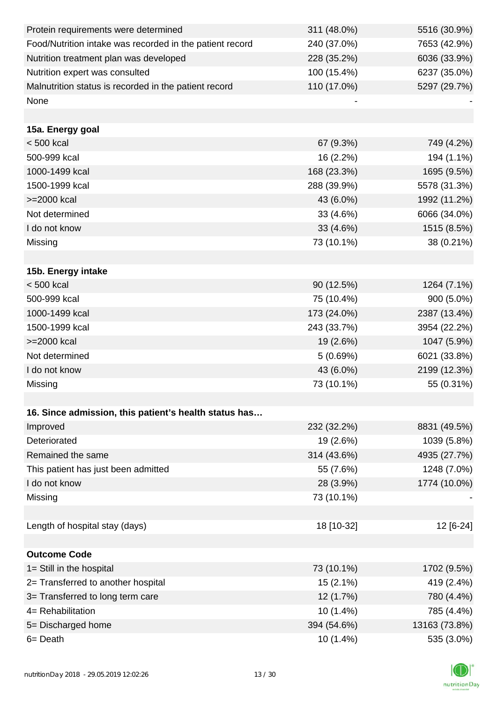| Protein requirements were determined                     | 311 (48.0%) | 5516 (30.9%)  |
|----------------------------------------------------------|-------------|---------------|
| Food/Nutrition intake was recorded in the patient record | 240 (37.0%) | 7653 (42.9%)  |
| Nutrition treatment plan was developed                   | 228 (35.2%) | 6036 (33.9%)  |
| Nutrition expert was consulted                           | 100 (15.4%) | 6237 (35.0%)  |
| Malnutrition status is recorded in the patient record    | 110 (17.0%) | 5297 (29.7%)  |
| None                                                     |             |               |
|                                                          |             |               |
| 15a. Energy goal                                         |             |               |
| $< 500$ kcal                                             | 67 (9.3%)   | 749 (4.2%)    |
| 500-999 kcal                                             | 16 (2.2%)   | 194 (1.1%)    |
| 1000-1499 kcal                                           | 168 (23.3%) | 1695 (9.5%)   |
| 1500-1999 kcal                                           | 288 (39.9%) | 5578 (31.3%)  |
| >=2000 kcal                                              | 43 (6.0%)   | 1992 (11.2%)  |
| Not determined                                           | 33 (4.6%)   | 6066 (34.0%)  |
| I do not know                                            | 33 (4.6%)   | 1515 (8.5%)   |
| Missing                                                  | 73 (10.1%)  | 38 (0.21%)    |
|                                                          |             |               |
| 15b. Energy intake                                       |             |               |
| $< 500$ kcal                                             | 90 (12.5%)  | 1264 (7.1%)   |
| 500-999 kcal                                             | 75 (10.4%)  | 900 (5.0%)    |
| 1000-1499 kcal                                           | 173 (24.0%) | 2387 (13.4%)  |
| 1500-1999 kcal                                           | 243 (33.7%) | 3954 (22.2%)  |
| >=2000 kcal                                              | 19 (2.6%)   | 1047 (5.9%)   |
| Not determined                                           | 5(0.69%)    | 6021 (33.8%)  |
| I do not know                                            | 43 (6.0%)   | 2199 (12.3%)  |
| Missing                                                  | 73 (10.1%)  | 55 (0.31%)    |
|                                                          |             |               |
| 16. Since admission, this patient's health status has    |             |               |
| Improved                                                 | 232 (32.2%) | 8831 (49.5%)  |
| Deteriorated                                             | 19 (2.6%)   | 1039 (5.8%)   |
| Remained the same                                        | 314 (43.6%) | 4935 (27.7%)  |
| This patient has just been admitted                      | 55 (7.6%)   | 1248 (7.0%)   |
| I do not know                                            | 28 (3.9%)   | 1774 (10.0%)  |
| Missing                                                  | 73 (10.1%)  |               |
|                                                          |             |               |
| Length of hospital stay (days)                           | 18 [10-32]  | 12 [6-24]     |
|                                                          |             |               |
| <b>Outcome Code</b>                                      |             |               |
| 1= Still in the hospital                                 | 73 (10.1%)  | 1702 (9.5%)   |
| 2= Transferred to another hospital                       | $15(2.1\%)$ | 419 (2.4%)    |
| 3= Transferred to long term care                         | 12 (1.7%)   | 780 (4.4%)    |
| 4= Rehabilitation                                        | $10(1.4\%)$ | 785 (4.4%)    |
| 5= Discharged home                                       | 394 (54.6%) | 13163 (73.8%) |
| 6 = Death                                                | 10 (1.4%)   | 535 (3.0%)    |

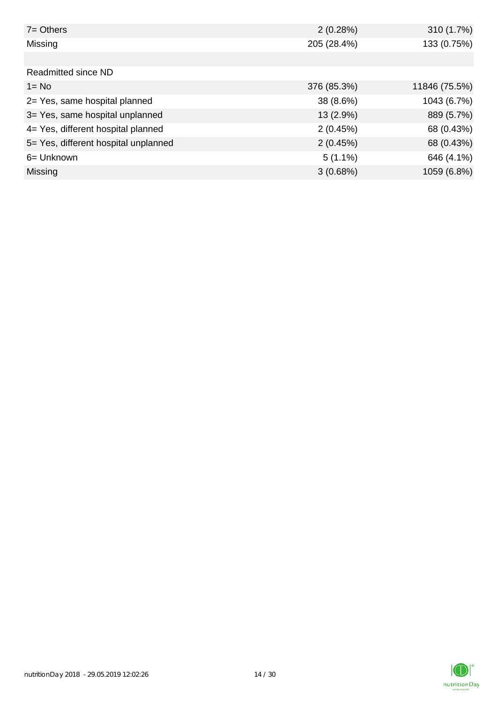| $7 =$ Others                         | 2(0.28%)    | 310 (1.7%)    |
|--------------------------------------|-------------|---------------|
| Missing                              | 205 (28.4%) | 133 (0.75%)   |
|                                      |             |               |
| Readmitted since ND                  |             |               |
| $1 = No$                             | 376 (85.3%) | 11846 (75.5%) |
| 2= Yes, same hospital planned        | 38 (8.6%)   | 1043 (6.7%)   |
| 3= Yes, same hospital unplanned      | 13 (2.9%)   | 889 (5.7%)    |
| 4= Yes, different hospital planned   | 2(0.45%)    | 68 (0.43%)    |
| 5= Yes, different hospital unplanned | 2(0.45%)    | 68 (0.43%)    |
| 6= Unknown                           | $5(1.1\%)$  | 646 (4.1%)    |
| <b>Missing</b>                       | 3(0.68%)    | 1059 (6.8%)   |

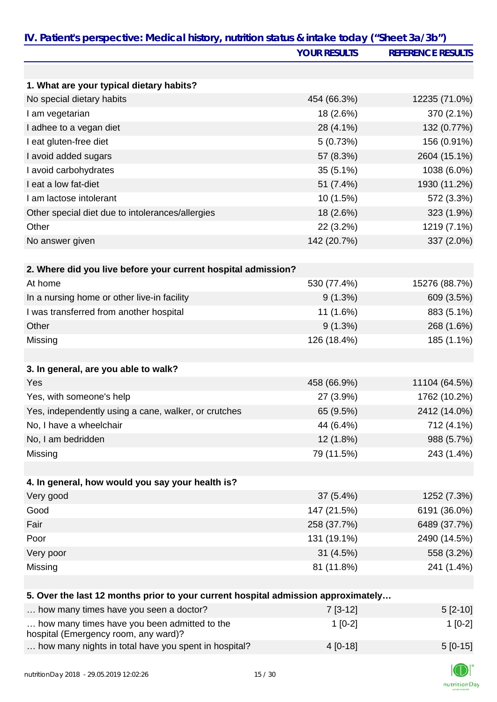|                                                                                      | <b>YOUR RESULTS</b> | <b>REFERENCE RESULTS</b> |
|--------------------------------------------------------------------------------------|---------------------|--------------------------|
|                                                                                      |                     |                          |
| 1. What are your typical dietary habits?                                             |                     |                          |
| No special dietary habits                                                            | 454 (66.3%)         | 12235 (71.0%)            |
| I am vegetarian                                                                      | 18 (2.6%)           | 370 (2.1%)               |
| I adhee to a vegan diet                                                              | 28 (4.1%)           | 132 (0.77%)              |
| I eat gluten-free diet                                                               | 5(0.73%)            | 156 (0.91%)              |
| I avoid added sugars                                                                 | 57 (8.3%)           | 2604 (15.1%)             |
| I avoid carbohydrates                                                                | $35(5.1\%)$         | 1038 (6.0%)              |
| I eat a low fat-diet                                                                 | 51 (7.4%)           | 1930 (11.2%)             |
| I am lactose intolerant                                                              | 10 (1.5%)           | 572 (3.3%)               |
| Other special diet due to intolerances/allergies                                     | 18 (2.6%)           | 323 (1.9%)               |
| Other                                                                                | 22 (3.2%)           | 1219 (7.1%)              |
| No answer given                                                                      | 142 (20.7%)         | 337 (2.0%)               |
|                                                                                      |                     |                          |
| 2. Where did you live before your current hospital admission?                        |                     |                          |
| At home                                                                              | 530 (77.4%)         | 15276 (88.7%)            |
| In a nursing home or other live-in facility                                          | $9(1.3\%)$          | 609 (3.5%)               |
| I was transferred from another hospital                                              | 11 (1.6%)           | 883 (5.1%)               |
| Other                                                                                | 9(1.3%)             | 268 (1.6%)               |
| Missing                                                                              | 126 (18.4%)         | 185 (1.1%)               |
|                                                                                      |                     |                          |
| 3. In general, are you able to walk?                                                 |                     |                          |
| Yes                                                                                  | 458 (66.9%)         | 11104 (64.5%)            |
| Yes, with someone's help                                                             | 27 (3.9%)           | 1762 (10.2%)             |
| Yes, independently using a cane, walker, or crutches                                 | 65 (9.5%)           | 2412 (14.0%)             |
| No, I have a wheelchair                                                              | 44 (6.4%)           | 712 (4.1%)               |
| No, I am bedridden                                                                   | 12 (1.8%)           | 988 (5.7%)               |
| Missing                                                                              | 79 (11.5%)          | 243 (1.4%)               |
|                                                                                      |                     |                          |
| 4. In general, how would you say your health is?                                     |                     |                          |
| Very good                                                                            | 37 (5.4%)           | 1252 (7.3%)              |
| Good                                                                                 | 147 (21.5%)         | 6191 (36.0%)             |
| Fair                                                                                 | 258 (37.7%)         | 6489 (37.7%)             |
| Poor                                                                                 | 131 (19.1%)         | 2490 (14.5%)             |
| Very poor                                                                            | 31(4.5%)            | 558 (3.2%)               |
| Missing                                                                              | 81 (11.8%)          | 241 (1.4%)               |
|                                                                                      |                     |                          |
| 5. Over the last 12 months prior to your current hospital admission approximately    |                     |                          |
| how many times have you seen a doctor?                                               | $7[3-12]$           | $5[2-10]$                |
| how many times have you been admitted to the<br>hospital (Emergency room, any ward)? | $1[0-2]$            | $1[0-2]$                 |
| how many nights in total have you spent in hospital?                                 | 4 [0-18]            | $5[0-15]$                |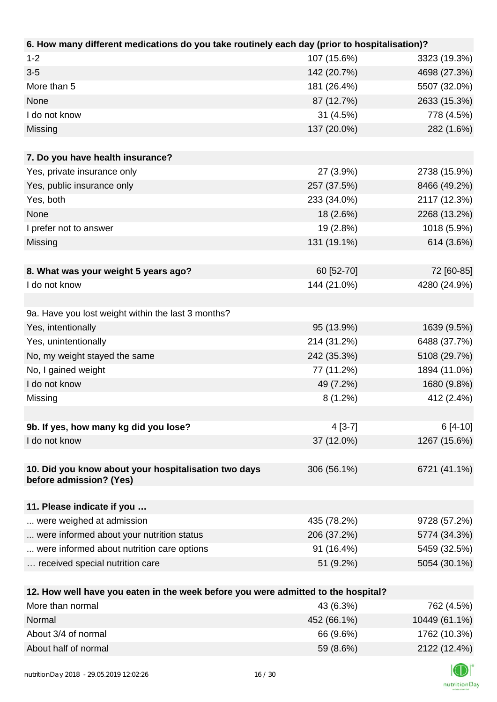| 6. How many different medications do you take routinely each day (prior to hospitalisation)?          |             |              |
|-------------------------------------------------------------------------------------------------------|-------------|--------------|
| $1 - 2$                                                                                               | 107 (15.6%) | 3323 (19.3%) |
| $3-5$                                                                                                 | 142 (20.7%) | 4698 (27.3%) |
| More than 5                                                                                           | 181 (26.4%) | 5507 (32.0%) |
| None                                                                                                  | 87 (12.7%)  | 2633 (15.3%) |
| I do not know                                                                                         | 31 (4.5%)   | 778 (4.5%)   |
| Missing                                                                                               | 137 (20.0%) | 282 (1.6%)   |
|                                                                                                       |             |              |
| 7. Do you have health insurance?                                                                      |             |              |
| Yes, private insurance only                                                                           | 27 (3.9%)   | 2738 (15.9%) |
| Yes, public insurance only                                                                            | 257 (37.5%) | 8466 (49.2%) |
| Yes, both                                                                                             | 233 (34.0%) | 2117 (12.3%) |
| None                                                                                                  | 18 (2.6%)   | 2268 (13.2%) |
| I prefer not to answer                                                                                | 19 (2.8%)   | 1018 (5.9%)  |
| Missing                                                                                               | 131 (19.1%) | 614 (3.6%)   |
|                                                                                                       |             |              |
| 8. What was your weight 5 years ago?                                                                  | 60 [52-70]  | 72 [60-85]   |
| I do not know                                                                                         | 144 (21.0%) | 4280 (24.9%) |
|                                                                                                       |             |              |
| 9a. Have you lost weight within the last 3 months?                                                    |             |              |
| Yes, intentionally                                                                                    | 95 (13.9%)  | 1639 (9.5%)  |
| Yes, unintentionally                                                                                  | 214 (31.2%) | 6488 (37.7%) |
| No, my weight stayed the same                                                                         | 242 (35.3%) | 5108 (29.7%) |
| No, I gained weight                                                                                   | 77 (11.2%)  | 1894 (11.0%) |
| I do not know                                                                                         | 49 (7.2%)   | 1680 (9.8%)  |
| Missing                                                                                               | $8(1.2\%)$  | 412 (2.4%)   |
|                                                                                                       |             |              |
| 9b. If yes, how many kg did you lose?                                                                 | $4[3-7]$    | $6[4-10]$    |
| I do not know                                                                                         | 37 (12.0%)  | 1267 (15.6%) |
|                                                                                                       |             |              |
| 10. Did you know about your hospitalisation two days                                                  | 306 (56.1%) | 6721 (41.1%) |
| before admission? (Yes)                                                                               |             |              |
|                                                                                                       |             |              |
| 11. Please indicate if you                                                                            |             |              |
| were weighed at admission                                                                             | 435 (78.2%) | 9728 (57.2%) |
| were informed about your nutrition status                                                             | 206 (37.2%) | 5774 (34.3%) |
| were informed about nutrition care options                                                            | 91 (16.4%)  | 5459 (32.5%) |
| received special nutrition care                                                                       | 51 (9.2%)   | 5054 (30.1%) |
|                                                                                                       |             |              |
| 12. How well have you eaten in the week before you were admitted to the hospital?<br>More than normal | 13 IG 30L)  | 762 (150)    |
|                                                                                                       |             |              |

| More than normal     | 43 (6.3%)   | 762 (4.5%)    |
|----------------------|-------------|---------------|
| Normal               | 452 (66.1%) | 10449 (61.1%) |
| About 3/4 of normal  | 66 (9.6%)   | 1762 (10.3%)  |
| About half of normal | 59 (8.6%)   | 2122 (12.4%)  |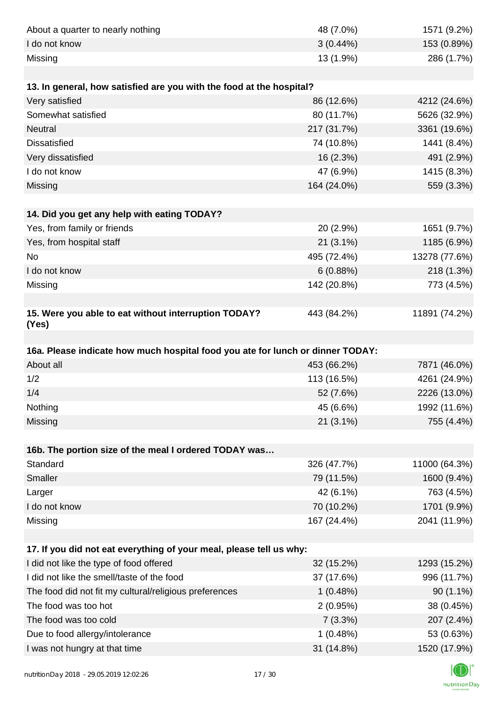| About a quarter to nearly nothing                                              | 48 (7.0%)              | 1571 (9.2%)                |
|--------------------------------------------------------------------------------|------------------------|----------------------------|
| I do not know                                                                  | $3(0.44\%)$            | 153 (0.89%)                |
| Missing                                                                        | 13 (1.9%)              | 286 (1.7%)                 |
|                                                                                |                        |                            |
| 13. In general, how satisfied are you with the food at the hospital?           |                        |                            |
| Very satisfied                                                                 | 86 (12.6%)             | 4212 (24.6%)               |
| Somewhat satisfied                                                             | 80 (11.7%)             | 5626 (32.9%)               |
| Neutral                                                                        | 217 (31.7%)            | 3361 (19.6%)               |
| <b>Dissatisfied</b>                                                            | 74 (10.8%)             | 1441 (8.4%)                |
| Very dissatisfied                                                              | 16 (2.3%)              | 491 (2.9%)                 |
| I do not know                                                                  | 47 (6.9%)              | 1415 (8.3%)                |
| Missing                                                                        | 164 (24.0%)            | 559 (3.3%)                 |
|                                                                                |                        |                            |
| 14. Did you get any help with eating TODAY?                                    |                        |                            |
| Yes, from family or friends                                                    | 20 (2.9%)              | 1651 (9.7%)                |
| Yes, from hospital staff                                                       | $21(3.1\%)$            | 1185 (6.9%)                |
| No                                                                             | 495 (72.4%)            | 13278 (77.6%)              |
| I do not know                                                                  | 6(0.88%)               | 218 (1.3%)                 |
| Missing                                                                        | 142 (20.8%)            | 773 (4.5%)                 |
|                                                                                |                        |                            |
| 15. Were you able to eat without interruption TODAY?<br>(Yes)                  | 443 (84.2%)            | 11891 (74.2%)              |
|                                                                                |                        |                            |
| 16a. Please indicate how much hospital food you ate for lunch or dinner TODAY: |                        |                            |
| About all                                                                      | 453 (66.2%)            | 7871 (46.0%)               |
| 1/2                                                                            | 113 (16.5%)            | 4261 (24.9%)               |
| 1/4                                                                            | 52 (7.6%)              | 2226 (13.0%)               |
| Nothing                                                                        | 45 (6.6%)              | 1992 (11.6%)               |
| Missing                                                                        | 21 (3.1%)              | 755 (4.4%)                 |
|                                                                                |                        |                            |
| 16b. The portion size of the meal I ordered TODAY was                          |                        |                            |
| Standard                                                                       | 326 (47.7%)            | 11000 (64.3%)              |
| Smaller                                                                        | 79 (11.5%)             | 1600 (9.4%)                |
| Larger                                                                         | 42 (6.1%)              | 763 (4.5%)                 |
| I do not know                                                                  | 70 (10.2%)             | 1701 (9.9%)                |
| Missing                                                                        | 167 (24.4%)            | 2041 (11.9%)               |
|                                                                                |                        |                            |
| 17. If you did not eat everything of your meal, please tell us why:            |                        |                            |
| I did not like the type of food offered                                        | 32 (15.2%)             | 1293 (15.2%)               |
|                                                                                |                        |                            |
| I did not like the smell/taste of the food                                     | 37 (17.6%)             | 996 (11.7%)                |
| The food did not fit my cultural/religious preferences                         | 1(0.48%)               | $90(1.1\%)$                |
| The food was too hot                                                           | 2(0.95%)               | 38 (0.45%)                 |
| The food was too cold                                                          | 7(3.3%)                | 207 (2.4%)                 |
| Due to food allergy/intolerance<br>I was not hungry at that time               | 1(0.48%)<br>31 (14.8%) | 53 (0.63%)<br>1520 (17.9%) |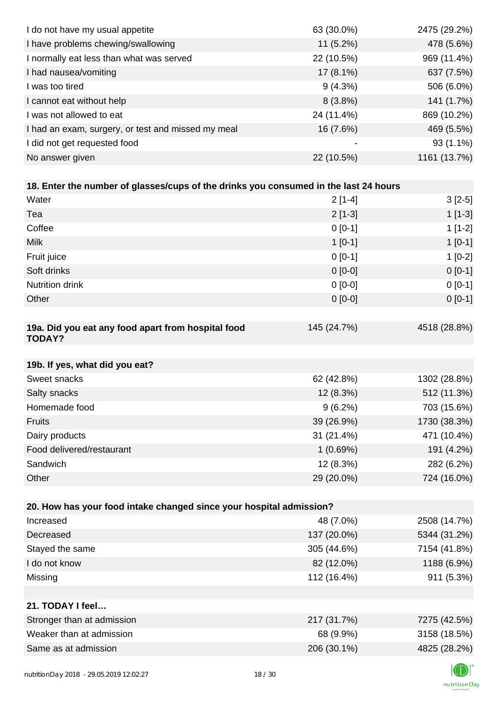| I do not have my usual appetite                                                      | 63 (30.0%)  | 2475 (29.2%) |
|--------------------------------------------------------------------------------------|-------------|--------------|
| I have problems chewing/swallowing                                                   | $11(5.2\%)$ | 478 (5.6%)   |
| I normally eat less than what was served                                             | 22 (10.5%)  | 969 (11.4%)  |
| I had nausea/vomiting                                                                | 17 (8.1%)   | 637 (7.5%)   |
| I was too tired                                                                      | $9(4.3\%)$  | 506 (6.0%)   |
| I cannot eat without help                                                            | 8(3.8%)     | 141 (1.7%)   |
| I was not allowed to eat                                                             | 24 (11.4%)  | 869 (10.2%)  |
| I had an exam, surgery, or test and missed my meal                                   | 16 (7.6%)   | 469 (5.5%)   |
| I did not get requested food                                                         |             | $93(1.1\%)$  |
| No answer given                                                                      | 22 (10.5%)  | 1161 (13.7%) |
|                                                                                      |             |              |
| 18. Enter the number of glasses/cups of the drinks you consumed in the last 24 hours |             |              |
| Water                                                                                | $2[1-4]$    | $3[2-5]$     |
| Tea                                                                                  | $2[1-3]$    | $1[1-3]$     |
| Coffee                                                                               | $0[0-1]$    | $1[1-2]$     |
| <b>Milk</b>                                                                          | $1[0-1]$    | $1[0-1]$     |
| Fruit juice                                                                          | $0[0-1]$    | $1[0-2]$     |
| Soft drinks                                                                          | $0[0-0]$    | $0 [0-1]$    |
| Nutrition drink                                                                      | $0[0-0]$    | $0 [0-1]$    |
| Other                                                                                | $0[0-0]$    | $0 [0-1]$    |
|                                                                                      |             |              |
| 19a. Did you eat any food apart from hospital food<br><b>TODAY?</b>                  | 145 (24.7%) | 4518 (28.8%) |
| 19b. If yes, what did you eat?                                                       |             |              |
| Sweet snacks                                                                         | 62 (42.8%)  | 1302 (28.8%) |
| Salty snacks                                                                         | 12 (8.3%)   | 512 (11.3%)  |
| Homemade food                                                                        | $9(6.2\%)$  | 703 (15.6%)  |
| Fruits                                                                               | 39 (26.9%)  | 1730 (38.3%) |
| Dairy products                                                                       | 31 (21.4%)  | 471 (10.4%)  |
| Food delivered/restaurant                                                            | 1(0.69%)    | 191 (4.2%)   |
| Sandwich                                                                             | 12 (8.3%)   | 282 (6.2%)   |
| Other                                                                                | 29 (20.0%)  | 724 (16.0%)  |
|                                                                                      |             |              |
| 20. How has your food intake changed since your hospital admission?                  |             |              |
| Increased                                                                            | 48 (7.0%)   | 2508 (14.7%) |
| Decreased                                                                            | 137 (20.0%) | 5344 (31.2%) |
| Stayed the same                                                                      | 305 (44.6%) | 7154 (41.8%) |
| I do not know                                                                        | 82 (12.0%)  | 1188 (6.9%)  |
| Missing                                                                              | 112 (16.4%) | 911 (5.3%)   |
|                                                                                      |             |              |
| 21. TODAY I feel                                                                     |             |              |
| Stronger than at admission                                                           | 217 (31.7%) | 7275 (42.5%) |
| Weaker than at admission                                                             | 68 (9.9%)   | 3158 (18.5%) |
| Same as at admission                                                                 | 206 (30.1%) | 4825 (28.2%) |
|                                                                                      |             |              |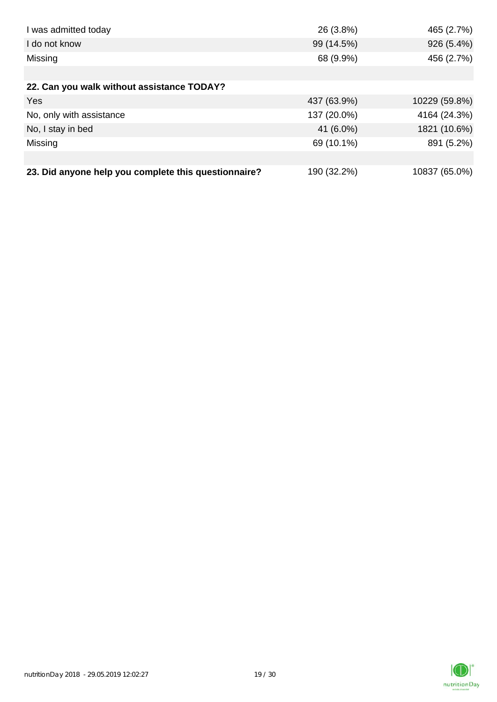| I was admitted today                                 | 26 (3.8%)   | 465 (2.7%)    |
|------------------------------------------------------|-------------|---------------|
| I do not know                                        | 99 (14.5%)  | 926 (5.4%)    |
| Missing                                              | 68 (9.9%)   | 456 (2.7%)    |
|                                                      |             |               |
| 22. Can you walk without assistance TODAY?           |             |               |
| Yes                                                  | 437 (63.9%) | 10229 (59.8%) |
| No, only with assistance                             | 137 (20.0%) | 4164 (24.3%)  |
| No, I stay in bed                                    | 41 (6.0%)   | 1821 (10.6%)  |
| Missing                                              | 69 (10.1%)  | 891 (5.2%)    |
|                                                      |             |               |
| 23. Did anyone help you complete this questionnaire? | 190 (32.2%) | 10837 (65.0%) |

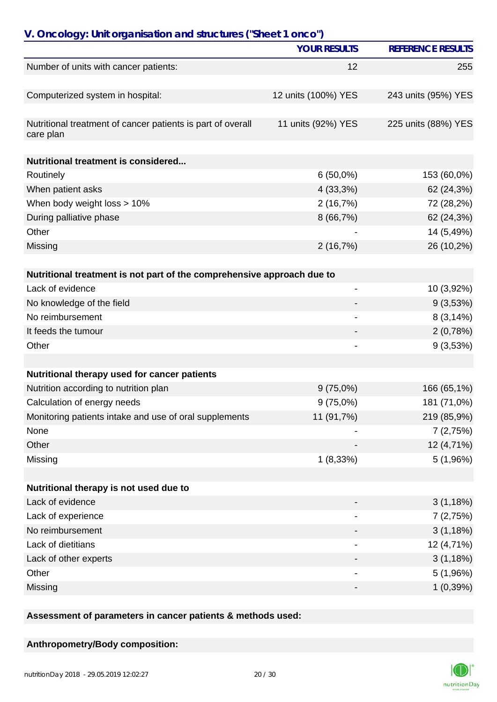| V. Oncology: Unit organisation and structures ("Sheet 1 onco")           |                          |                          |
|--------------------------------------------------------------------------|--------------------------|--------------------------|
|                                                                          | <b>YOUR RESULTS</b>      | <b>REFERENCE RESULTS</b> |
| Number of units with cancer patients:                                    | 12                       | 255                      |
|                                                                          |                          |                          |
| Computerized system in hospital:                                         | 12 units (100%) YES      | 243 units (95%) YES      |
|                                                                          |                          |                          |
| Nutritional treatment of cancer patients is part of overall<br>care plan | 11 units (92%) YES       | 225 units (88%) YES      |
|                                                                          |                          |                          |
| <b>Nutritional treatment is considered</b>                               |                          |                          |
| Routinely                                                                | $6(50,0\%)$              | 153 (60,0%)              |
| When patient asks                                                        | 4(33,3%)                 | 62 (24,3%)               |
| When body weight loss > 10%                                              | 2(16,7%)                 | 72 (28,2%)               |
| During palliative phase                                                  | 8 (66,7%)                | 62 (24,3%)               |
| Other                                                                    |                          | 14 (5,49%)               |
| Missing                                                                  | 2(16,7%)                 | 26 (10,2%)               |
|                                                                          |                          |                          |
| Nutritional treatment is not part of the comprehensive approach due to   |                          |                          |
| Lack of evidence                                                         |                          | 10 (3,92%)               |
| No knowledge of the field                                                |                          | 9(3,53%)                 |
| No reimbursement                                                         | $\overline{\phantom{a}}$ | 8(3,14%)                 |
| It feeds the tumour                                                      |                          | 2(0,78%)                 |
| Other                                                                    |                          | 9(3,53%)                 |
|                                                                          |                          |                          |
| Nutritional therapy used for cancer patients                             |                          |                          |
| Nutrition according to nutrition plan                                    | $9(75,0\%)$              | 166 (65,1%)              |
| Calculation of energy needs                                              | 9(75,0%)                 | 181 (71,0%)              |
| Monitoring patients intake and use of oral supplements                   | 11 (91,7%)               | 219 (85,9%)              |
| None                                                                     |                          | 7(2,75%)                 |
| Other                                                                    |                          | 12 (4,71%)               |
| Missing                                                                  | 1(8,33%)                 | 5(1,96%)                 |
|                                                                          |                          |                          |
| Nutritional therapy is not used due to                                   |                          |                          |
| Lack of evidence                                                         |                          | 3(1,18%)                 |
| Lack of experience                                                       |                          | 7(2,75%)                 |
| No reimbursement                                                         |                          | 3(1,18%)                 |
| Lack of dietitians                                                       |                          | 12 (4,71%)               |
| Lack of other experts                                                    |                          | 3(1,18%)                 |
| Other                                                                    |                          | 5 (1,96%)                |
| Missing                                                                  |                          | 1(0,39%)                 |

**Assessment of parameters in cancer patients & methods used:**

## **Anthropometry/Body composition:**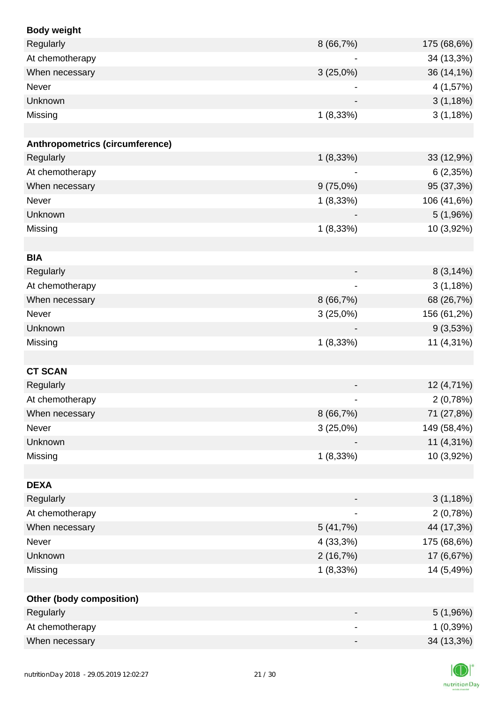| <b>Body weight</b>              |                          |             |
|---------------------------------|--------------------------|-------------|
| Regularly                       | 8 (66,7%)                | 175 (68,6%) |
| At chemotherapy                 |                          | 34 (13,3%)  |
| When necessary                  | 3(25,0%)                 | 36 (14,1%)  |
| Never                           |                          | 4 (1,57%)   |
| Unknown                         |                          | 3(1,18%)    |
| Missing                         | 1(8,33%)                 | 3(1,18%)    |
|                                 |                          |             |
| Anthropometrics (circumference) |                          |             |
| Regularly                       | 1(8,33%)                 | 33 (12,9%)  |
| At chemotherapy                 |                          | 6(2,35%)    |
| When necessary                  | $9(75,0\%)$              | 95 (37,3%)  |
| Never                           | 1(8,33%)                 | 106 (41,6%) |
| Unknown                         |                          | 5(1,96%)    |
| Missing                         | 1(8,33%)                 | 10 (3,92%)  |
|                                 |                          |             |
| <b>BIA</b>                      |                          |             |
| Regularly                       |                          | 8(3,14%)    |
| At chemotherapy                 |                          | 3(1,18%)    |
| When necessary                  | 8 (66,7%)                | 68 (26,7%)  |
| Never                           | 3(25,0%)                 | 156 (61,2%) |
| Unknown                         |                          | 9(3,53%)    |
| Missing                         | 1(8,33%)                 | 11 (4,31%)  |
|                                 |                          |             |
| <b>CT SCAN</b>                  |                          |             |
| Regularly                       |                          | 12 (4,71%)  |
| At chemotherapy                 |                          | 2(0,78%)    |
| When necessary                  | 8(66,7%)                 | 71 (27,8%)  |
| Never                           | 3(25,0%)                 | 149 (58,4%) |
| Unknown                         |                          | 11 (4,31%)  |
| Missing                         | 1(8,33%)                 | 10 (3,92%)  |
|                                 |                          |             |
| <b>DEXA</b>                     |                          |             |
| Regularly                       | $\overline{\phantom{a}}$ | 3(1,18%)    |
| At chemotherapy                 |                          | 2(0,78%)    |
| When necessary                  | 5(41,7%)                 | 44 (17,3%)  |
| Never                           | 4 (33,3%)                | 175 (68,6%) |
| Unknown                         | 2(16,7%)                 | 17 (6,67%)  |
| Missing                         | 1(8,33%)                 | 14 (5,49%)  |
|                                 |                          |             |
| <b>Other (body composition)</b> |                          |             |
| Regularly                       |                          | 5(1,96%)    |
| At chemotherapy                 |                          | 1(0,39%)    |
| When necessary                  | -                        | 34 (13,3%)  |
|                                 |                          |             |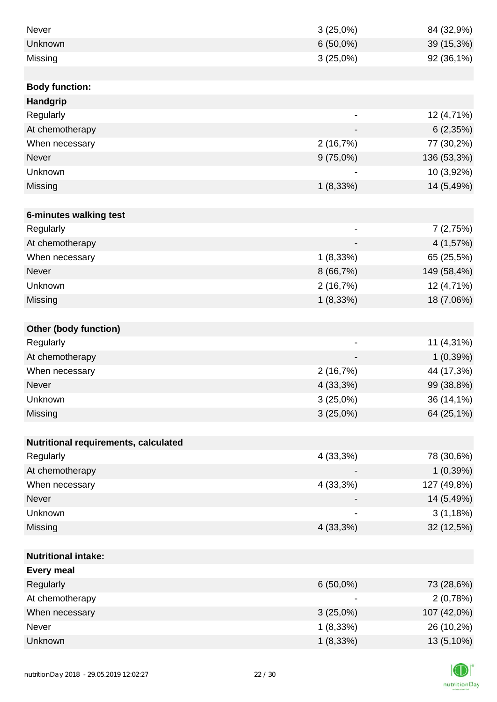| Never                                | 3(25,0%)                 | 84 (32,9%)  |
|--------------------------------------|--------------------------|-------------|
| Unknown                              | $6(50,0\%)$              | 39 (15,3%)  |
| Missing                              | 3(25,0%)                 | 92 (36,1%)  |
|                                      |                          |             |
| <b>Body function:</b>                |                          |             |
| <b>Handgrip</b>                      |                          |             |
| Regularly                            | $\overline{\phantom{a}}$ | 12 (4,71%)  |
| At chemotherapy                      |                          | 6(2,35%)    |
| When necessary                       | 2(16,7%)                 | 77 (30,2%)  |
| Never                                | $9(75,0\%)$              | 136 (53,3%) |
| Unknown                              |                          | 10 (3,92%)  |
| Missing                              | 1(8,33%)                 | 14 (5,49%)  |
|                                      |                          |             |
| 6-minutes walking test               |                          |             |
| Regularly                            | $\overline{\phantom{a}}$ | 7(2,75%)    |
| At chemotherapy                      | $\overline{\phantom{a}}$ | 4 (1,57%)   |
| When necessary                       | $1(8,33\%)$              | 65 (25,5%)  |
| <b>Never</b>                         | 8 (66,7%)                | 149 (58,4%) |
| Unknown                              | 2(16,7%)                 | 12 (4,71%)  |
| Missing                              | $1(8,33\%)$              | 18 (7,06%)  |
|                                      |                          |             |
| Other (body function)                |                          |             |
| Regularly                            | $\overline{\phantom{a}}$ | 11 (4,31%)  |
| At chemotherapy                      |                          | 1(0,39%)    |
| When necessary                       | 2(16,7%)                 | 44 (17,3%)  |
| Never                                | 4 (33,3%)                | 99 (38,8%)  |
| Unknown                              | 3(25,0%)                 | 36 (14,1%)  |
| Missing                              | 3(25,0%)                 | 64 (25,1%)  |
|                                      |                          |             |
| Nutritional requirements, calculated |                          |             |
| Regularly                            | 4 (33,3%)                | 78 (30,6%)  |
| At chemotherapy                      |                          | 1(0,39%)    |
| When necessary                       | 4 (33,3%)                | 127 (49,8%) |
| Never                                |                          | 14 (5,49%)  |
| Unknown                              |                          | 3(1,18%)    |
| Missing                              | 4 (33,3%)                | 32 (12,5%)  |
|                                      |                          |             |
| <b>Nutritional intake:</b>           |                          |             |
| <b>Every meal</b>                    |                          |             |
| Regularly                            | $6(50,0\%)$              | 73 (28,6%)  |
| At chemotherapy                      |                          | 2(0,78%)    |
| When necessary                       | 3(25,0%)                 | 107 (42,0%) |
| Never                                | $1(8,33\%)$              | 26 (10,2%)  |
| Unknown                              | 1(8,33%)                 | 13 (5,10%)  |

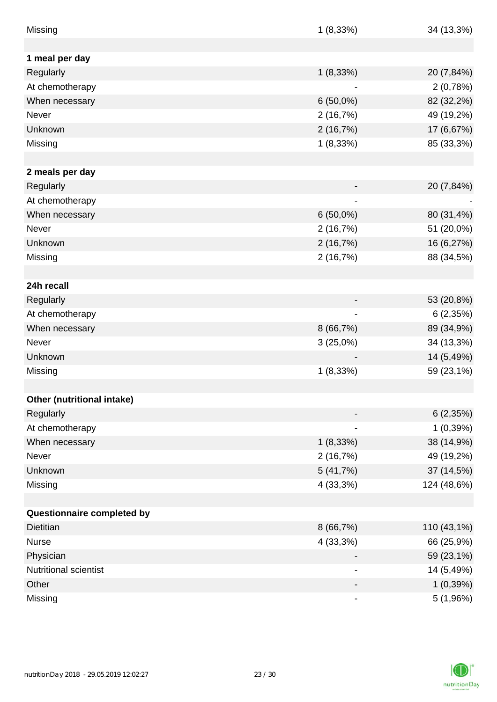| Missing                      | 1(8,33%)                     | 34 (13,3%)  |
|------------------------------|------------------------------|-------------|
|                              |                              |             |
| 1 meal per day               |                              |             |
| Regularly                    | 1(8,33%)                     | 20 (7,84%)  |
| At chemotherapy              |                              | 2(0,78%)    |
| When necessary               | $6(50,0\%)$                  | 82 (32,2%)  |
| Never                        | 2(16,7%)                     | 49 (19,2%)  |
| Unknown                      | 2(16,7%)                     | 17 (6,67%)  |
| Missing                      | 1(8,33%)                     | 85 (33,3%)  |
| 2 meals per day              |                              |             |
| Regularly                    |                              | 20 (7,84%)  |
| At chemotherapy              |                              |             |
| When necessary               | $6(50,0\%)$                  | 80 (31,4%)  |
| Never                        | 2(16,7%)                     | 51 (20,0%)  |
| Unknown                      | 2(16,7%)                     | 16 (6,27%)  |
| Missing                      | 2(16,7%)                     | 88 (34,5%)  |
|                              |                              |             |
| 24h recall                   |                              |             |
| Regularly                    |                              | 53 (20,8%)  |
| At chemotherapy              | $\qquad \qquad \blacksquare$ | 6(2,35%)    |
| When necessary               | 8(66,7%)                     | 89 (34,9%)  |
| Never                        | $3(25,0\%)$                  | 34 (13,3%)  |
| Unknown                      |                              | 14 (5,49%)  |
| Missing                      | 1(8,33%)                     | 59 (23,1%)  |
|                              |                              |             |
| Other (nutritional intake)   |                              |             |
| Regularly                    |                              | 6(2,35%)    |
| At chemotherapy              |                              | 1(0,39%)    |
| When necessary               | $1(8,33\%)$                  | 38 (14,9%)  |
| Never                        | 2(16,7%)                     | 49 (19,2%)  |
| Unknown                      | 5(41,7%)                     | 37 (14,5%)  |
| Missing                      | 4 (33,3%)                    | 124 (48,6%) |
|                              |                              |             |
| Questionnaire completed by   |                              |             |
| <b>Dietitian</b>             | 8(66,7%)                     | 110 (43,1%) |
| <b>Nurse</b>                 | 4 (33,3%)                    | 66 (25,9%)  |
| Physician                    |                              | 59 (23,1%)  |
| <b>Nutritional scientist</b> |                              | 14 (5,49%)  |
| Other                        | -                            | 1(0,39%)    |
| Missing                      | -                            | 5 (1,96%)   |

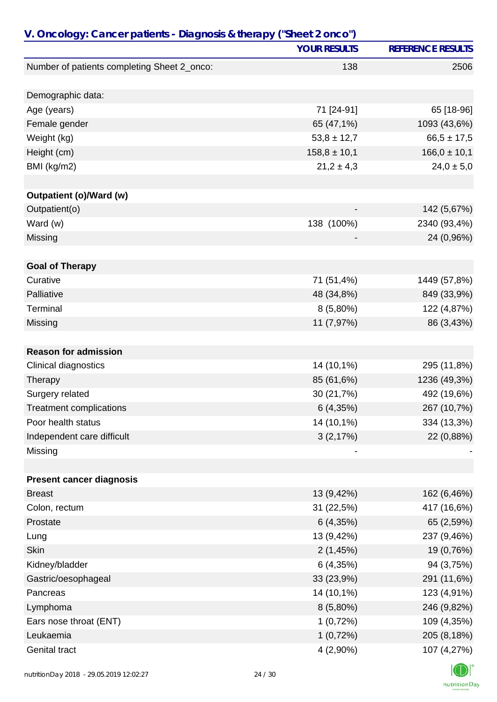| V. Oncology: Cancer patients - Diagnosis & therapy ("Sheet 2 onco") | <b>YOUR RESULTS</b> | <b>REFERENCE RESULTS</b> |
|---------------------------------------------------------------------|---------------------|--------------------------|
|                                                                     |                     |                          |
| Number of patients completing Sheet 2_onco:                         | 138                 | 2506                     |
| Demographic data:                                                   |                     |                          |
| Age (years)                                                         | 71 [24-91]          | 65 [18-96]               |
| Female gender                                                       | 65 (47,1%)          | 1093 (43,6%)             |
| Weight (kg)                                                         | $53,8 \pm 12,7$     | $66,5 \pm 17,5$          |
| Height (cm)                                                         | $158,8 \pm 10,1$    | $166,0 \pm 10,1$         |
| BMI (kg/m2)                                                         | $21,2 \pm 4,3$      | $24,0 \pm 5,0$           |
|                                                                     |                     |                          |
| Outpatient (o)/Ward (w)                                             |                     |                          |
| Outpatient(o)                                                       |                     | 142 (5,67%)              |
| Ward (w)                                                            | 138 (100%)          | 2340 (93,4%)             |
| Missing                                                             |                     | 24 (0,96%)               |
| <b>Goal of Therapy</b>                                              |                     |                          |
| Curative                                                            | 71 (51,4%)          | 1449 (57,8%)             |
| Palliative                                                          | 48 (34,8%)          | 849 (33,9%)              |
| Terminal                                                            | $8(5,80\%)$         | 122 (4,87%)              |
| Missing                                                             | 11 (7,97%)          | 86 (3,43%)               |
|                                                                     |                     |                          |
| <b>Reason for admission</b>                                         |                     |                          |
| Clinical diagnostics                                                | 14 (10,1%)          | 295 (11,8%)              |
| Therapy                                                             | 85 (61,6%)          | 1236 (49,3%)             |
| Surgery related                                                     | 30 (21,7%)          | 492 (19,6%)              |
| <b>Treatment complications</b>                                      | 6(4,35%)            | 267 (10,7%)              |
| Poor health status                                                  | 14 (10,1%)          | 334 (13,3%)              |
| Independent care difficult                                          | 3(2,17%)            | 22 (0,88%)               |
| Missing                                                             |                     |                          |
|                                                                     |                     |                          |
| <b>Present cancer diagnosis</b>                                     |                     |                          |
| <b>Breast</b>                                                       | 13 (9,42%)          | 162 (6,46%)              |
| Colon, rectum                                                       | 31 (22,5%)          | 417 (16,6%)              |
| Prostate                                                            | 6(4,35%)            | 65 (2,59%)               |
| Lung                                                                | 13 (9,42%)          | 237 (9,46%)              |
| <b>Skin</b>                                                         | 2(1,45%)            | 19 (0,76%)               |
| Kidney/bladder                                                      | 6(4,35%)            | 94 (3,75%)               |
| Gastric/oesophageal                                                 | 33 (23,9%)          | 291 (11,6%)              |
| Pancreas                                                            | 14 (10,1%)          | 123 (4,91%)              |
| Lymphoma                                                            | $8(5,80\%)$         | 246 (9,82%)              |
| Ears nose throat (ENT)                                              | 1(0,72%)            | 109 (4,35%)              |
| Leukaemia                                                           | 1(0,72%)            | 205 (8,18%)              |
| Genital tract                                                       | 4 (2,90%)           | 107 (4,27%)              |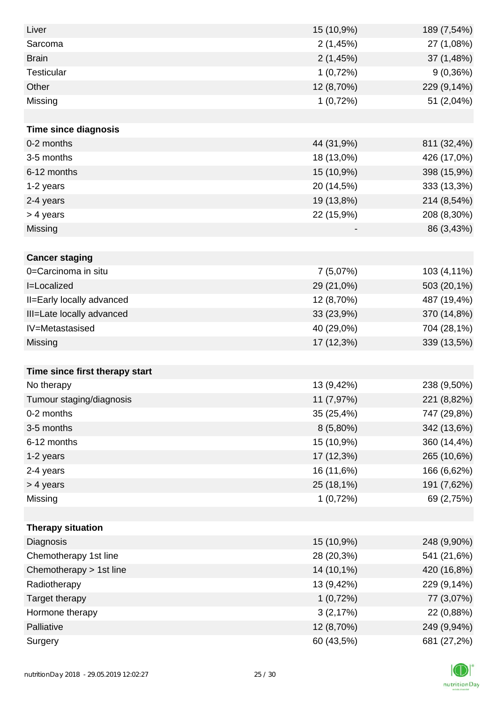| Liver                          | 15 (10,9%)  | 189 (7,54%) |
|--------------------------------|-------------|-------------|
| Sarcoma                        | 2(1,45%)    | 27 (1,08%)  |
| <b>Brain</b>                   | 2(1,45%)    | 37 (1,48%)  |
| <b>Testicular</b>              | 1(0,72%)    | 9(0,36%)    |
| Other                          | 12 (8,70%)  | 229 (9,14%) |
| Missing                        | 1(0,72%)    | 51 (2,04%)  |
|                                |             |             |
| <b>Time since diagnosis</b>    |             |             |
| 0-2 months                     | 44 (31,9%)  | 811 (32,4%) |
| 3-5 months                     | 18 (13,0%)  | 426 (17,0%) |
| 6-12 months                    | 15 (10,9%)  | 398 (15,9%) |
| 1-2 years                      | 20 (14,5%)  | 333 (13,3%) |
| 2-4 years                      | 19 (13,8%)  | 214 (8,54%) |
| > 4 years                      | 22 (15,9%)  | 208 (8,30%) |
| Missing                        |             | 86 (3,43%)  |
|                                |             |             |
| <b>Cancer staging</b>          |             |             |
| 0=Carcinoma in situ            | 7(5,07%)    | 103 (4,11%) |
| I=Localized                    | 29 (21,0%)  | 503 (20,1%) |
| II=Early locally advanced      | 12 (8,70%)  | 487 (19,4%) |
| III=Late locally advanced      | 33 (23,9%)  | 370 (14,8%) |
| IV=Metastasised                | 40 (29,0%)  | 704 (28,1%) |
| Missing                        | 17 (12,3%)  | 339 (13,5%) |
|                                |             |             |
| Time since first therapy start |             |             |
| No therapy                     | 13 (9,42%)  | 238 (9,50%) |
| Tumour staging/diagnosis       | 11 (7,97%)  | 221 (8,82%) |
| 0-2 months                     | 35 (25,4%)  | 747 (29,8%) |
| 3-5 months                     | $8(5,80\%)$ | 342 (13,6%) |
| 6-12 months                    | 15 (10,9%)  | 360 (14,4%) |
| 1-2 years                      | 17 (12,3%)  | 265 (10,6%) |
| 2-4 years                      | 16 (11,6%)  | 166 (6,62%) |
| > 4 years                      | 25 (18,1%)  | 191 (7,62%) |
| Missing                        | 1(0,72%)    | 69 (2,75%)  |
|                                |             |             |
| <b>Therapy situation</b>       |             |             |
| Diagnosis                      | 15 (10,9%)  | 248 (9,90%) |
| Chemotherapy 1st line          | 28 (20,3%)  | 541 (21,6%) |
| Chemotherapy > 1st line        | 14 (10,1%)  | 420 (16,8%) |
| Radiotherapy                   | 13 (9,42%)  | 229 (9,14%) |
| Target therapy                 | 1(0,72%)    | 77 (3,07%)  |
| Hormone therapy                | 3(2,17%)    | 22 (0,88%)  |
| Palliative                     | 12 (8,70%)  | 249 (9,94%) |
| Surgery                        | 60 (43,5%)  | 681 (27,2%) |

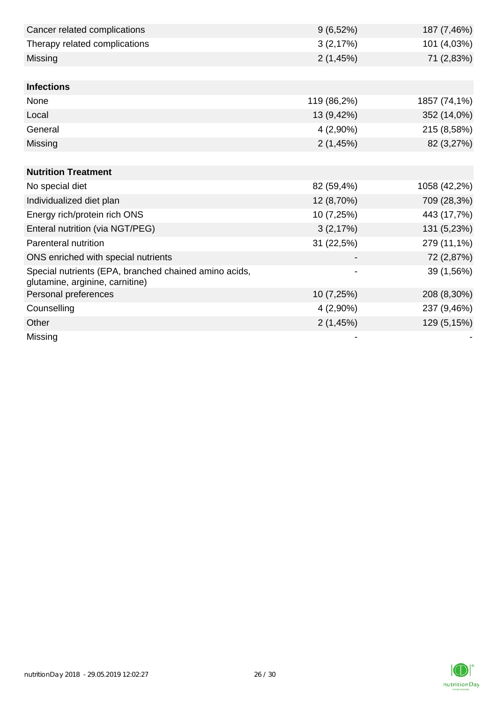| Cancer related complications                                                             | 9(6,52%)    | 187 (7,46%)  |
|------------------------------------------------------------------------------------------|-------------|--------------|
| Therapy related complications                                                            | 3(2,17%)    | 101 (4,03%)  |
| Missing                                                                                  | 2(1,45%)    | 71 (2,83%)   |
|                                                                                          |             |              |
| <b>Infections</b>                                                                        |             |              |
| None                                                                                     | 119 (86,2%) | 1857 (74,1%) |
| Local                                                                                    | 13 (9,42%)  | 352 (14,0%)  |
| General                                                                                  | $4(2,90\%)$ | 215 (8,58%)  |
| Missing                                                                                  | 2(1,45%)    | 82 (3,27%)   |
|                                                                                          |             |              |
| <b>Nutrition Treatment</b>                                                               |             |              |
| No special diet                                                                          | 82 (59,4%)  | 1058 (42,2%) |
| Individualized diet plan                                                                 | 12 (8,70%)  | 709 (28,3%)  |
| Energy rich/protein rich ONS                                                             | 10 (7,25%)  | 443 (17,7%)  |
| Enteral nutrition (via NGT/PEG)                                                          | 3(2,17%)    | 131 (5,23%)  |
| Parenteral nutrition                                                                     | 31 (22,5%)  | 279 (11,1%)  |
| ONS enriched with special nutrients                                                      |             | 72 (2,87%)   |
| Special nutrients (EPA, branched chained amino acids,<br>glutamine, arginine, carnitine) | -           | 39 (1,56%)   |
| Personal preferences                                                                     | 10 (7,25%)  | 208 (8,30%)  |
| Counselling                                                                              | $4(2,90\%)$ | 237 (9,46%)  |
| Other                                                                                    | 2(1,45%)    | 129 (5,15%)  |
| Missing                                                                                  |             |              |

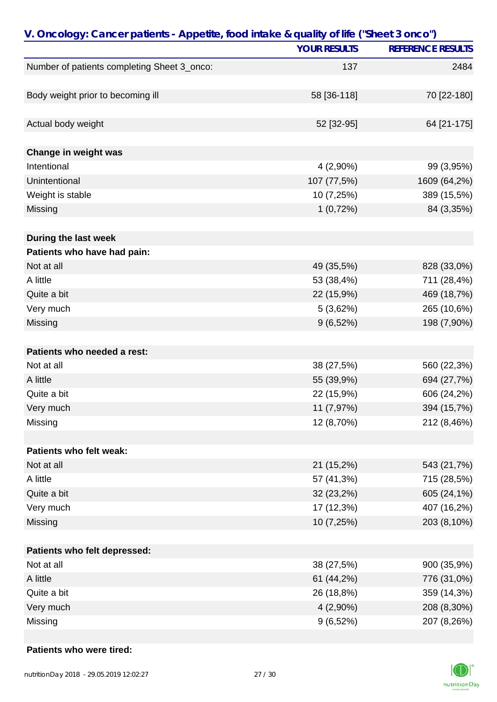| V. Oncology: Cancer patients - Appetite, food intake & quality of life ("Sheet 3 onco") |                     |                          |
|-----------------------------------------------------------------------------------------|---------------------|--------------------------|
|                                                                                         | <b>YOUR RESULTS</b> | <b>REFERENCE RESULTS</b> |
| Number of patients completing Sheet 3_onco:                                             | 137                 | 2484                     |
|                                                                                         |                     |                          |
| Body weight prior to becoming ill                                                       | 58 [36-118]         | 70 [22-180]              |
|                                                                                         |                     |                          |
| Actual body weight                                                                      | 52 [32-95]          | 64 [21-175]              |
|                                                                                         |                     |                          |
| Change in weight was                                                                    |                     |                          |
| Intentional                                                                             | 4 (2,90%)           | 99 (3,95%)               |
| Unintentional                                                                           | 107 (77,5%)         | 1609 (64,2%)             |
| Weight is stable                                                                        | 10 (7,25%)          | 389 (15,5%)              |
| Missing                                                                                 | 1(0,72%)            | 84 (3,35%)               |
|                                                                                         |                     |                          |
| During the last week                                                                    |                     |                          |
| Patients who have had pain:                                                             |                     |                          |
| Not at all                                                                              | 49 (35,5%)          | 828 (33,0%)              |
| A little                                                                                | 53 (38,4%)          | 711 (28,4%)              |
| Quite a bit                                                                             | 22 (15,9%)          | 469 (18,7%)              |
| Very much                                                                               | 5(3,62%)            | 265 (10,6%)              |
| Missing                                                                                 | 9(6,52%)            | 198 (7,90%)              |
|                                                                                         |                     |                          |
| Patients who needed a rest:                                                             |                     |                          |
| Not at all                                                                              | 38 (27,5%)          | 560 (22,3%)              |
| A little                                                                                | 55 (39,9%)          | 694 (27,7%)              |
| Quite a bit                                                                             | 22 (15,9%)          | 606 (24,2%)              |
| Very much                                                                               | 11 (7,97%)          | 394 (15,7%)              |
| Missing                                                                                 | 12 (8,70%)          | 212 (8,46%)              |
|                                                                                         |                     |                          |
| Patients who felt weak:                                                                 |                     |                          |
| Not at all                                                                              | 21 (15,2%)          | 543 (21,7%)              |
| A little                                                                                | 57 (41,3%)          | 715 (28,5%)              |
| Quite a bit                                                                             | 32 (23,2%)          | 605 (24,1%)              |
| Very much                                                                               | 17 (12,3%)          | 407 (16,2%)              |
| Missing                                                                                 | 10 (7,25%)          | 203 (8,10%)              |
|                                                                                         |                     |                          |
| Patients who felt depressed:                                                            |                     |                          |
| Not at all                                                                              | 38 (27,5%)          | 900 (35,9%)              |
| A little                                                                                | 61 (44,2%)          | 776 (31,0%)              |
| Quite a bit                                                                             | 26 (18,8%)          | 359 (14,3%)              |
| Very much                                                                               | 4 (2,90%)           | 208 (8,30%)              |
| Missing                                                                                 | 9(6,52%)            | 207 (8,26%)              |

### **Patients who were tired:**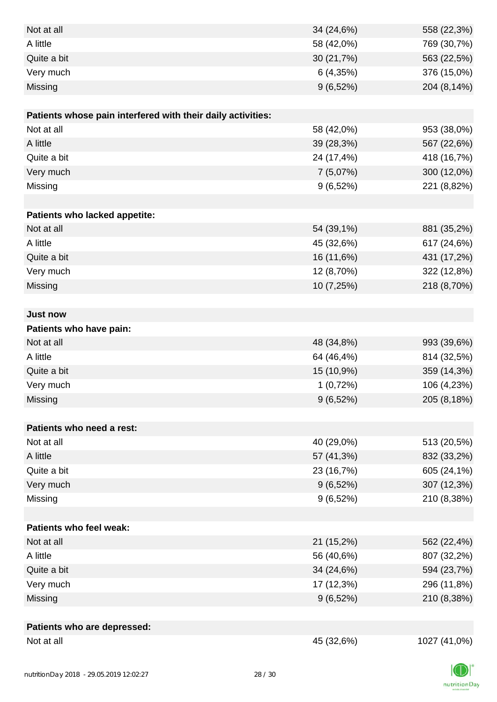| Not at all                                                  | 34 (24,6%)  | 558 (22,3%)  |
|-------------------------------------------------------------|-------------|--------------|
| A little                                                    | 58 (42,0%)  | 769 (30,7%)  |
| Quite a bit                                                 | 30 (21,7%)  | 563 (22,5%)  |
| Very much                                                   | 6(4,35%)    | 376 (15,0%)  |
| Missing                                                     | 9(6,52%)    | 204 (8,14%)  |
|                                                             |             |              |
| Patients whose pain interfered with their daily activities: |             |              |
| Not at all                                                  | 58 (42,0%)  | 953 (38,0%)  |
| A little                                                    | 39 (28,3%)  | 567 (22,6%)  |
| Quite a bit                                                 | 24 (17,4%)  | 418 (16,7%)  |
| Very much                                                   | 7 (5,07%)   | 300 (12,0%)  |
| Missing                                                     | 9(6,52%)    | 221 (8,82%)  |
|                                                             |             |              |
| Patients who lacked appetite:                               |             |              |
| Not at all                                                  | 54 (39,1%)  | 881 (35,2%)  |
| A little                                                    | 45 (32,6%)  | 617 (24,6%)  |
| Quite a bit                                                 | 16 (11,6%)  | 431 (17,2%)  |
| Very much                                                   | 12 (8,70%)  | 322 (12,8%)  |
| Missing                                                     | 10 (7,25%)  | 218 (8,70%)  |
|                                                             |             |              |
| <b>Just now</b>                                             |             |              |
| Patients who have pain:                                     |             |              |
| Not at all                                                  | 48 (34,8%)  | 993 (39,6%)  |
| A little                                                    | 64 (46,4%)  | 814 (32,5%)  |
| Quite a bit                                                 | 15 (10,9%)  | 359 (14,3%)  |
| Very much                                                   | 1(0,72%)    | 106 (4,23%)  |
| Missing                                                     | 9(6,52%)    | 205 (8,18%)  |
|                                                             |             |              |
| Patients who need a rest:                                   |             |              |
| Not at all                                                  | 40 (29,0%)  | 513 (20,5%)  |
| A little                                                    | 57 (41,3%)  | 832 (33,2%)  |
| Quite a bit                                                 | 23 (16,7%)  | 605 (24,1%)  |
| Very much                                                   | $9(6,52\%)$ | 307 (12,3%)  |
| Missing                                                     | 9(6,52%)    | 210 (8,38%)  |
|                                                             |             |              |
| Patients who feel weak:                                     |             |              |
| Not at all                                                  | 21 (15,2%)  | 562 (22,4%)  |
| A little                                                    | 56 (40,6%)  | 807 (32,2%)  |
| Quite a bit                                                 | 34 (24,6%)  | 594 (23,7%)  |
| Very much                                                   | 17 (12,3%)  | 296 (11,8%)  |
| Missing                                                     | 9(6,52%)    | 210 (8,38%)  |
|                                                             |             |              |
| Patients who are depressed:                                 |             |              |
| Not at all                                                  | 45 (32,6%)  | 1027 (41,0%) |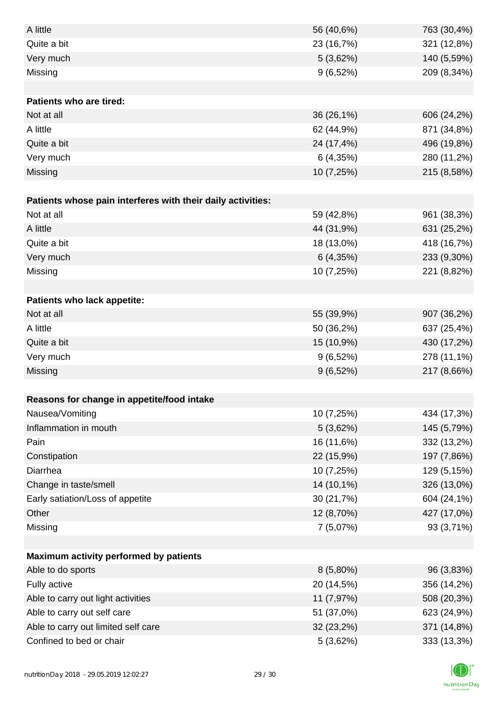| A little                                                    | 56 (40,6%)  | 763 (30,4%) |
|-------------------------------------------------------------|-------------|-------------|
| Quite a bit                                                 | 23 (16,7%)  | 321 (12,8%) |
| Very much                                                   | 5(3,62%)    | 140 (5,59%) |
| Missing                                                     | 9(6,52%)    | 209 (8,34%) |
|                                                             |             |             |
| Patients who are tired:                                     |             |             |
| Not at all                                                  | 36 (26,1%)  | 606 (24,2%) |
| A little                                                    | 62 (44,9%)  | 871 (34,8%) |
| Quite a bit                                                 | 24 (17,4%)  | 496 (19,8%) |
| Very much                                                   | 6(4,35%)    | 280 (11,2%) |
| Missing                                                     | 10 (7,25%)  | 215 (8,58%) |
|                                                             |             |             |
| Patients whose pain interferes with their daily activities: |             |             |
| Not at all                                                  | 59 (42,8%)  | 961 (38,3%) |
| A little                                                    | 44 (31,9%)  | 631 (25,2%) |
| Quite a bit                                                 | 18 (13,0%)  | 418 (16,7%) |
| Very much                                                   | 6(4,35%)    | 233 (9,30%) |
| Missing                                                     | 10 (7,25%)  | 221 (8,82%) |
|                                                             |             |             |
| Patients who lack appetite:                                 |             |             |
| Not at all                                                  | 55 (39,9%)  | 907 (36,2%) |
| A little                                                    | 50 (36,2%)  | 637 (25,4%) |
| Quite a bit                                                 | 15 (10,9%)  | 430 (17,2%) |
| Very much                                                   | 9(6,52%)    | 278 (11,1%) |
| Missing                                                     | 9(6,52%)    | 217 (8,66%) |
|                                                             |             |             |
| Reasons for change in appetite/food intake                  |             |             |
| Nausea/Vomiting                                             | 10 (7,25%)  | 434 (17,3%) |
| Inflammation in mouth                                       | 5(3,62%)    | 145 (5,79%) |
| Pain                                                        | 16 (11,6%)  | 332 (13,2%) |
| Constipation                                                | 22 (15,9%)  | 197 (7,86%) |
| Diarrhea                                                    | 10 (7,25%)  | 129 (5,15%) |
| Change in taste/smell                                       | 14 (10,1%)  | 326 (13,0%) |
| Early satiation/Loss of appetite                            | 30 (21,7%)  | 604 (24,1%) |
| Other                                                       | 12 (8,70%)  | 427 (17,0%) |
| Missing                                                     | 7 (5,07%)   | 93 (3,71%)  |
|                                                             |             |             |
| Maximum activity performed by patients                      |             |             |
| Able to do sports                                           | $8(5,80\%)$ | 96 (3,83%)  |
| Fully active                                                | 20 (14,5%)  | 356 (14,2%) |
| Able to carry out light activities                          | 11 (7,97%)  | 508 (20,3%) |
| Able to carry out self care                                 | 51 (37,0%)  | 623 (24,9%) |
| Able to carry out limited self care                         | 32 (23,2%)  | 371 (14,8%) |
| Confined to bed or chair                                    | 5(3,62%)    | 333 (13,3%) |